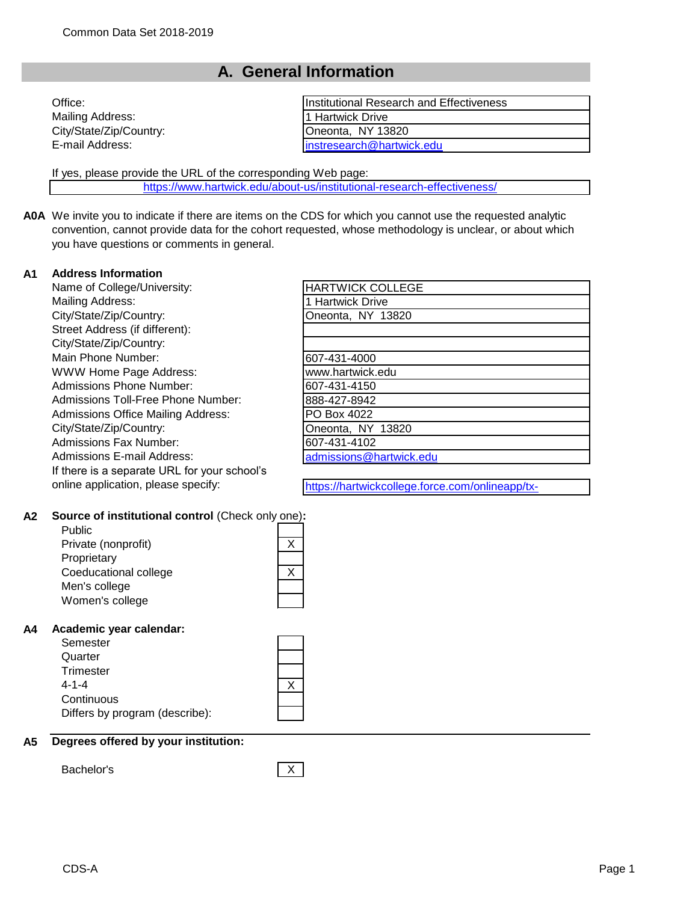## **A. General Information**

| Office:                 | Institutional Research and Effectiveness |
|-------------------------|------------------------------------------|
| Mailing Address:        | 11 Hartwick Drive                        |
| City/State/Zip/Country: | Oneonta, NY 13820                        |
| E-mail Address:         | instresearch@hartwick.edu                |
|                         |                                          |

If yes, please provide the URL of the corresponding Web page:

[https://www.hartwick.edu/ab](https://www.hartwick.edu/about-us/institutional-research-effectiveness/)out-us/institutional-research-effectiveness/

**A0A** We invite you to indicate if there are items on the CDS for which you cannot use the requested analytic convention, cannot provide data for the cohort requested, whose methodology is unclear, or about which you have questions or comments in general.

### **A1 Address Information**

Name of College/University: Mailing Address: City/State/Zip/Country: Street Address (if different): City/State/Zip/Country: Main Phone Number: WWW Home Page Address: Admissions Phone Number: Admissions Toll-Free Phone Number: Admissions Office Mailing Address: City/State/Zip/Country: Admissions Fax Number: Admissions E-mail Address: If there is a separate URL for your school's online application, please specify:

| <b>HARTWICK COLLEGE</b> |  |
|-------------------------|--|
| 1 Hartwick Drive        |  |
| Oneonta, NY 13820       |  |
|                         |  |
|                         |  |
| 607-431-4000            |  |
| www.hartwick.edu        |  |
| 607-431-4150            |  |
| 888-427-8942            |  |
| PO Box 4022             |  |
| Oneonta, NY 13820       |  |
| 607-431-4102            |  |
| admissions@hartwick.edu |  |
|                         |  |

https://hartwickcollege.force.com/onlineapp/tx-

communitieshome

#### **A2 Source of institutional control** (Check only one)**:**

| Public                |  |
|-----------------------|--|
| Private (nonprofit)   |  |
| Proprietary           |  |
| Coeducational college |  |
| Men's college         |  |
| Women's college       |  |
|                       |  |

#### **A4 Academic year calendar:**

| Semester                       |  |
|--------------------------------|--|
| Quarter                        |  |
| Trimester                      |  |
| $4 - 1 - 4$                    |  |
| Continuous                     |  |
| Differs by program (describe): |  |

#### **A5 Degrees offered by your institution:**

Bachelor's X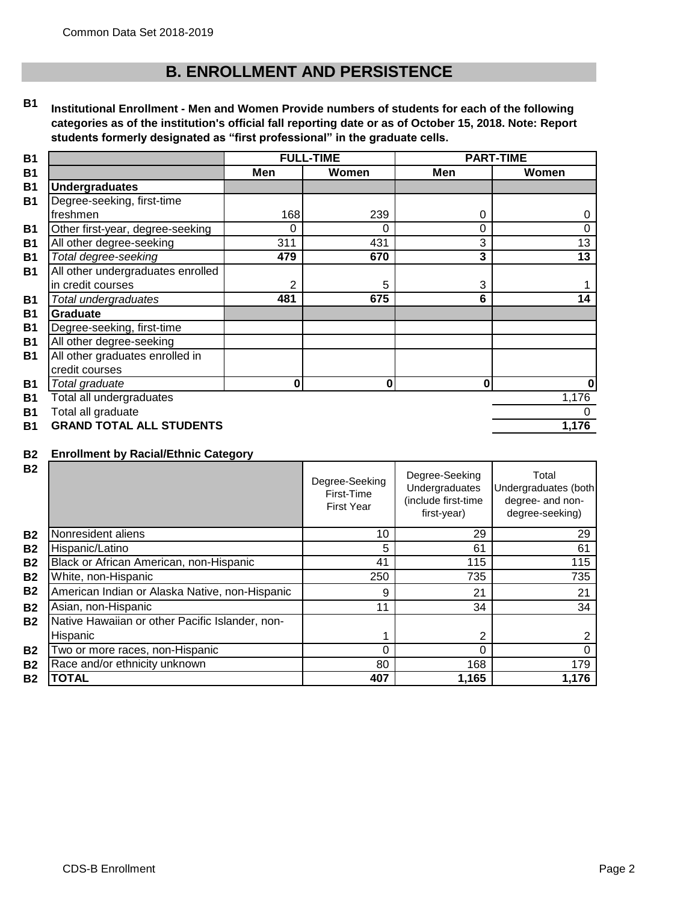# **B. ENROLLMENT AND PERSISTENCE**

#### **B1 Institutional Enrollment - Men and Women Provide numbers of students for each of the following categories as of the institution's official fall reporting date or as of October 15, 2018. Note: Report students formerly designated as "first professional" in the graduate cells.**

|                                   | <b>FULL-TIME</b> |          |          | <b>PART-TIME</b> |
|-----------------------------------|------------------|----------|----------|------------------|
|                                   | Men              | Women    | Men      | Women            |
| <b>Undergraduates</b>             |                  |          |          |                  |
| Degree-seeking, first-time        |                  |          |          |                  |
| freshmen                          | 168              | 239      | 0        | 0                |
| Other first-year, degree-seeking  | 0                | 0        | $\Omega$ | $\Omega$         |
| All other degree-seeking          | 311              | 431      | 3        | 13               |
| Total degree-seeking              | 479              | 670      | 3        | 13               |
| All other undergraduates enrolled |                  |          |          |                  |
| in credit courses                 | 2                | 5        | 3        |                  |
| Total undergraduates              | 481              | 675      | 6        | 14               |
| Graduate                          |                  |          |          |                  |
| Degree-seeking, first-time        |                  |          |          |                  |
| All other degree-seeking          |                  |          |          |                  |
| All other graduates enrolled in   |                  |          |          |                  |
| credit courses                    |                  |          |          |                  |
| Total graduate                    | 0                | $\bf{0}$ | $\bf{0}$ | 0                |
| Total all undergraduates          |                  |          |          | 1,176            |
| Total all graduate                |                  |          |          | $\Omega$         |
| <b>GRAND TOTAL ALL STUDENTS</b>   |                  |          |          | 1,176            |

### **B2 Enrollment by Racial/Ethnic Category**

| <b>B2</b> |                                                 | Degree-Seeking<br>First-Time<br><b>First Year</b> | Degree-Seeking<br>Undergraduates<br>(include first-time<br>first-year) | Total<br>Undergraduates (both<br>degree- and non-<br>degree-seeking) |
|-----------|-------------------------------------------------|---------------------------------------------------|------------------------------------------------------------------------|----------------------------------------------------------------------|
| <b>B2</b> | Nonresident aliens                              | 10                                                | 29                                                                     | 29                                                                   |
| <b>B2</b> | Hispanic/Latino                                 | 5                                                 | 61                                                                     | 61                                                                   |
| <b>B2</b> | Black or African American, non-Hispanic         | 41                                                | 115                                                                    | 115                                                                  |
| <b>B2</b> | White, non-Hispanic                             | 250                                               | 735                                                                    | 735                                                                  |
| <b>B2</b> | American Indian or Alaska Native, non-Hispanic  | 9                                                 | 21                                                                     | 21                                                                   |
| <b>B2</b> | Asian, non-Hispanic                             | 11                                                | 34                                                                     | 34                                                                   |
| <b>B2</b> | Native Hawaiian or other Pacific Islander, non- |                                                   |                                                                        |                                                                      |
|           | Hispanic                                        |                                                   |                                                                        |                                                                      |
| <b>B2</b> | Two or more races, non-Hispanic                 | 0                                                 | $\Omega$                                                               |                                                                      |
| <b>B2</b> | Race and/or ethnicity unknown                   | 80                                                | 168                                                                    | 179                                                                  |
| <b>B2</b> | TOTAL                                           | 407                                               | 1,165                                                                  | 1,176                                                                |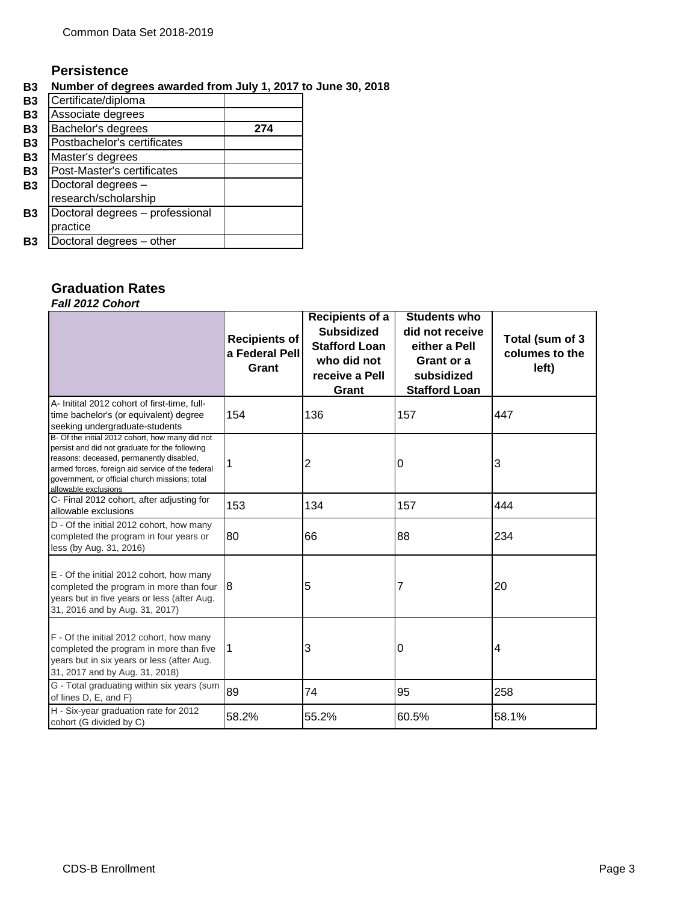## **Persistence**

## **B3 Number of degrees awarded from July 1, 2017 to June 30, 2018**

| <b>B3</b>      | Certificate/diploma             |     |
|----------------|---------------------------------|-----|
| <b>B3</b>      | Associate degrees               |     |
| <b>B3</b>      | Bachelor's degrees              | 274 |
| B <sub>3</sub> | Postbachelor's certificates     |     |
| <b>B3</b>      | Master's degrees                |     |
| B <sub>3</sub> | Post-Master's certificates      |     |
| <b>B3</b>      | Doctoral degrees -              |     |
|                | research/scholarship            |     |
| B3             | Doctoral degrees - professional |     |
|                | practice                        |     |
| B3             | Doctoral degrees - other        |     |

## **Graduation Rates** *Fall 2012 Cohort*

|                                                                                                                                                                                                                                                                             | <b>Recipients of</b><br>a Federal Pell<br>Grant | Recipients of a<br><b>Subsidized</b><br><b>Stafford Loan</b><br>who did not<br>receive a Pell<br>Grant | <b>Students who</b><br>did not receive<br>either a Pell<br>Grant or a<br>subsidized<br><b>Stafford Loan</b> | Total (sum of 3<br>columes to the<br>left) |
|-----------------------------------------------------------------------------------------------------------------------------------------------------------------------------------------------------------------------------------------------------------------------------|-------------------------------------------------|--------------------------------------------------------------------------------------------------------|-------------------------------------------------------------------------------------------------------------|--------------------------------------------|
| A- Initital 2012 cohort of first-time, full-<br>time bachelor's (or equivalent) degree<br>seeking undergraduate-students                                                                                                                                                    | 154                                             | 136                                                                                                    | 157                                                                                                         | 447                                        |
| B- Of the initial 2012 cohort, how many did not<br>persist and did not graduate for the following<br>reasons: deceased, permanently disabled,<br>armed forces, foreign aid service of the federal<br>government, or official church missions; total<br>allowable exclusions | 1                                               | 2                                                                                                      | 0                                                                                                           | 3                                          |
| C- Final 2012 cohort, after adjusting for<br>allowable exclusions                                                                                                                                                                                                           | 153                                             | 134                                                                                                    | 157                                                                                                         | 444                                        |
| D - Of the initial 2012 cohort, how many<br>completed the program in four years or<br>less (by Aug. 31, 2016)                                                                                                                                                               | 80                                              | 66                                                                                                     | 88                                                                                                          | 234                                        |
| E - Of the initial 2012 cohort, how many<br>completed the program in more than four $8$<br>years but in five years or less (after Aug.<br>31, 2016 and by Aug. 31, 2017)                                                                                                    |                                                 | 5                                                                                                      |                                                                                                             | 20                                         |
| F - Of the initial 2012 cohort, how many<br>completed the program in more than five<br>years but in six years or less (after Aug.<br>31, 2017 and by Aug. 31, 2018)                                                                                                         | 1                                               | 3                                                                                                      | 0                                                                                                           | 4                                          |
| G - Total graduating within six years (sum<br>of lines D, E, and F)                                                                                                                                                                                                         | 89                                              | 74                                                                                                     | 95                                                                                                          | 258                                        |
| H - Six-year graduation rate for 2012<br>cohort (G divided by C)                                                                                                                                                                                                            | 58.2%                                           | 55.2%                                                                                                  | 60.5%                                                                                                       | 58.1%                                      |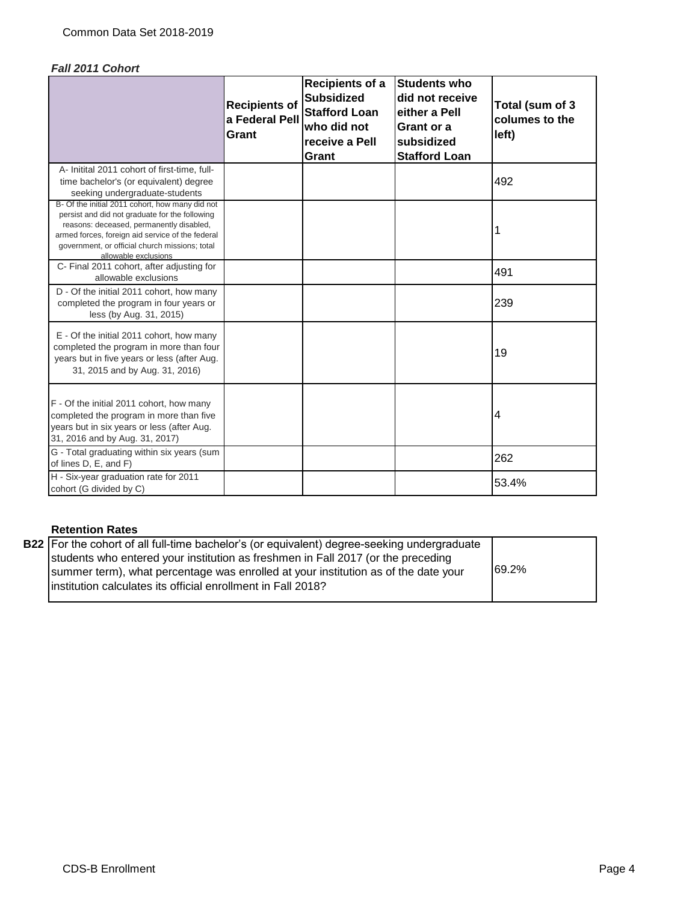## *Fall 2011 Cohort*

|                                                                                                                                                                                                                                                                             | <b>Recipients of</b><br>a Federal Pell<br>Grant | Recipients of a<br><b>Subsidized</b><br><b>Stafford Loan</b><br>who did not<br>receive a Pell<br>Grant | <b>Students who</b><br>did not receive<br>either a Pell<br>Grant or a<br>subsidized<br><b>Stafford Loan</b> | Total (sum of 3<br>columes to the<br>left) |
|-----------------------------------------------------------------------------------------------------------------------------------------------------------------------------------------------------------------------------------------------------------------------------|-------------------------------------------------|--------------------------------------------------------------------------------------------------------|-------------------------------------------------------------------------------------------------------------|--------------------------------------------|
| A- Initital 2011 cohort of first-time, full-<br>time bachelor's (or equivalent) degree<br>seeking undergraduate-students                                                                                                                                                    |                                                 |                                                                                                        |                                                                                                             | 492                                        |
| B- Of the initial 2011 cohort, how many did not<br>persist and did not graduate for the following<br>reasons: deceased, permanently disabled,<br>armed forces, foreign aid service of the federal<br>government, or official church missions; total<br>allowable exclusions |                                                 |                                                                                                        |                                                                                                             |                                            |
| C- Final 2011 cohort, after adjusting for<br>allowable exclusions                                                                                                                                                                                                           |                                                 |                                                                                                        |                                                                                                             | 491                                        |
| D - Of the initial 2011 cohort, how many<br>completed the program in four years or<br>less (by Aug. 31, 2015)                                                                                                                                                               |                                                 |                                                                                                        |                                                                                                             | 239                                        |
| E - Of the initial 2011 cohort, how many<br>completed the program in more than four<br>years but in five years or less (after Aug.<br>31, 2015 and by Aug. 31, 2016)                                                                                                        |                                                 |                                                                                                        |                                                                                                             | 19                                         |
| F - Of the initial 2011 cohort, how many<br>completed the program in more than five<br>years but in six years or less (after Aug.<br>31, 2016 and by Aug. 31, 2017)                                                                                                         |                                                 |                                                                                                        |                                                                                                             | 4                                          |
| G - Total graduating within six years (sum<br>of lines D, E, and F)                                                                                                                                                                                                         |                                                 |                                                                                                        |                                                                                                             | 262                                        |
| H - Six-year graduation rate for 2011<br>cohort (G divided by C)                                                                                                                                                                                                            |                                                 |                                                                                                        |                                                                                                             | 53.4%                                      |

## **Retention Rates**

| <b>B22</b> For the cohort of all full-time bachelor's (or equivalent) degree-seeking undergraduate |       |
|----------------------------------------------------------------------------------------------------|-------|
| students who entered your institution as freshmen in Fall 2017 (or the preceding                   |       |
| summer term), what percentage was enrolled at your institution as of the date your                 | 69.2% |
| linstitution calculates its official enrollment in Fall 2018?                                      |       |
|                                                                                                    |       |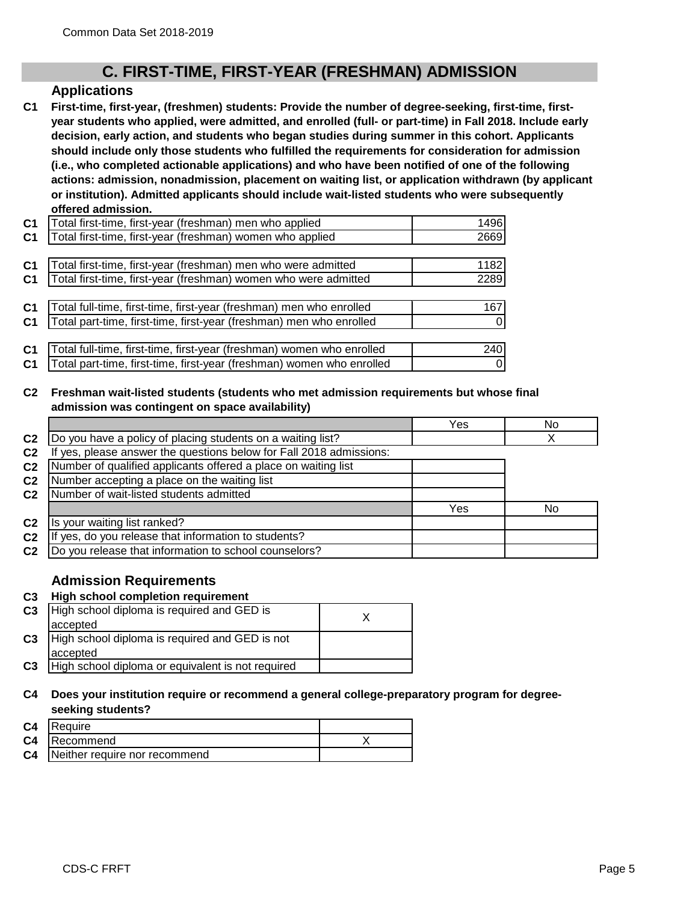## **C. FIRST-TIME, FIRST-YEAR (FRESHMAN) ADMISSION**

## **Applications**

**C1 First-time, first-year, (freshmen) students: Provide the number of degree-seeking, first-time, firstyear students who applied, were admitted, and enrolled (full- or part-time) in Fall 2018. Include early decision, early action, and students who began studies during summer in this cohort. Applicants should include only those students who fulfilled the requirements for consideration for admission (i.e., who completed actionable applications) and who have been notified of one of the following actions: admission, nonadmission, placement on waiting list, or application withdrawn (by applicant or institution). Admitted applicants should include wait-listed students who were subsequently offered admission.**

| C <sub>1</sub> | Total first-time, first-year (freshman) men who applied               | 1496 |
|----------------|-----------------------------------------------------------------------|------|
| C <sub>1</sub> | Total first-time, first-year (freshman) women who applied             | 2669 |
|                |                                                                       |      |
| <b>C1</b>      | Total first-time, first-year (freshman) men who were admitted         | 1182 |
| C <sub>1</sub> | Total first-time, first-year (freshman) women who were admitted       | 2289 |
|                |                                                                       |      |
| C1             | Total full-time, first-time, first-year (freshman) men who enrolled   | 167  |
| C <sub>1</sub> | Total part-time, first-time, first-year (freshman) men who enrolled   |      |
|                |                                                                       |      |
| C <sub>1</sub> | Total full-time, first-time, first-year (freshman) women who enrolled | 240  |
| C1             | Total part-time, first-time, first-year (freshman) women who enrolled | 0    |

## **C2 Freshman wait-listed students (students who met admission requirements but whose final admission was contingent on space availability)**

|                                                                  | Yes | No |
|------------------------------------------------------------------|-----|----|
| Do you have a policy of placing students on a waiting list?      |     |    |
| yes, please answer the questions below for Fall 2018 admissions: |     |    |
| Number of qualified applicants offered a place on waiting list   |     |    |
| Number accepting a place on the waiting list                     |     |    |
| Number of wait-listed students admitted                          |     |    |
|                                                                  | Yes | No |
| Is your waiting list ranked?                                     |     |    |
| If yes, do you release that information to students?             |     |    |
| Do you release that information to school counselors?            |     |    |
|                                                                  |     |    |

## **Admission Requirements**

## **C3 High school completion requirement**

| C <sub>3</sub> | High school diploma is required and GED is        |  |
|----------------|---------------------------------------------------|--|
|                | accepted                                          |  |
| C <sub>3</sub> | High school diploma is required and GED is not    |  |
|                | accepted                                          |  |
| C <sub>3</sub> | High school diploma or equivalent is not required |  |

#### **C4 Does your institution require or recommend a general college-preparatory program for degreeseeking students?**

| C <sub>4</sub> | <b>IRequire</b>                         |  |
|----------------|-----------------------------------------|--|
|                | <b>C4 Recommend</b>                     |  |
|                | <b>C4</b> Neither require nor recommend |  |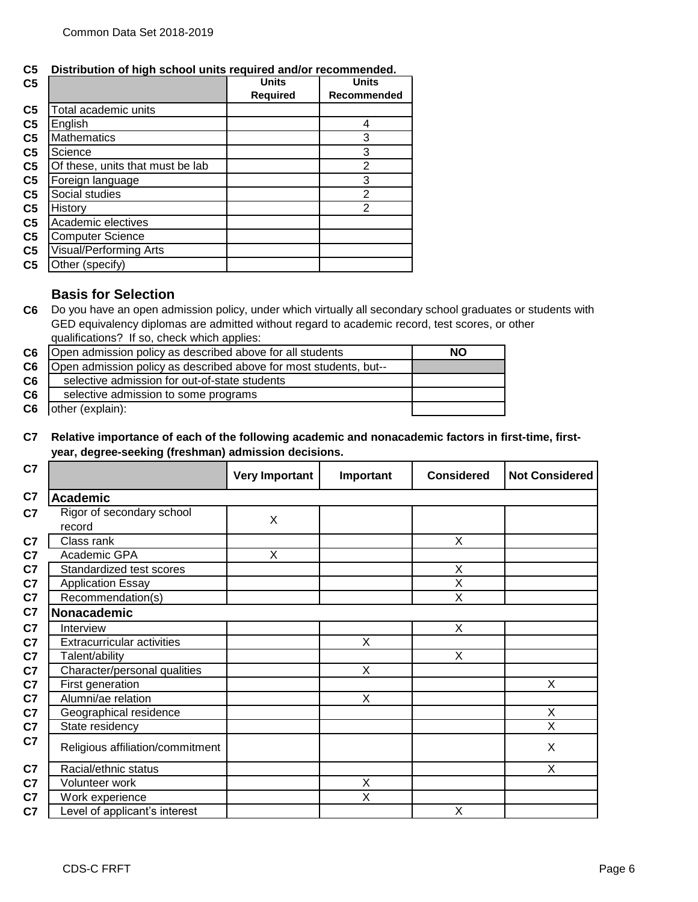**C5 Distribution of high school units required and/or recommended.**

| C <sub>5</sub> |                                  | <b>Units</b>    | <b>Units</b>   |
|----------------|----------------------------------|-----------------|----------------|
|                |                                  | <b>Required</b> | Recommended    |
| C <sub>5</sub> | Total academic units             |                 |                |
| C <sub>5</sub> | English                          |                 | 4              |
| C <sub>5</sub> | <b>Mathematics</b>               |                 | 3              |
| C <sub>5</sub> | Science                          |                 | 3              |
| C <sub>5</sub> | Of these, units that must be lab |                 | $\overline{2}$ |
| C <sub>5</sub> | Foreign language                 |                 | 3              |
| C <sub>5</sub> | Social studies                   |                 | $\overline{2}$ |
| C <sub>5</sub> | History                          |                 | $\overline{2}$ |
| C <sub>5</sub> | Academic electives               |                 |                |
| C <sub>5</sub> | <b>Computer Science</b>          |                 |                |
| C <sub>5</sub> | Visual/Performing Arts           |                 |                |
| C <sub>5</sub> | Other (specify)                  |                 |                |

## **Basis for Selection**

**C6** Do you have an open admission policy, under which virtually all secondary school graduates or students with GED equivalency diplomas are admitted without regard to academic record, test scores, or other qualifications? If so, check which applies:

| Open admission policy as described above for all students         | <b>NO</b> |
|-------------------------------------------------------------------|-----------|
| Open admission policy as described above for most students, but-- |           |
| selective admission for out-of-state students                     |           |
| selective admission to some programs                              |           |
| other (explain):                                                  |           |
|                                                                   |           |

## **C7 Relative importance of each of the following academic and nonacademic factors in first-time, firstyear, degree-seeking (freshman) admission decisions.**

| C7                                        | <b>Very Important</b> | Important | <b>Considered</b>       | <b>Not Considered</b> |
|-------------------------------------------|-----------------------|-----------|-------------------------|-----------------------|
| C7<br><b>Academic</b>                     |                       |           |                         |                       |
| Rigor of secondary school<br>C7<br>record | X                     |           |                         |                       |
| Class rank<br>C7                          |                       |           | X                       |                       |
| C7<br>Academic GPA                        | X                     |           |                         |                       |
| C7<br>Standardized test scores            |                       |           | X                       |                       |
| C7<br><b>Application Essay</b>            |                       |           | $\overline{\mathsf{x}}$ |                       |
| Recommendation(s)<br>C7                   |                       |           | X                       |                       |
| C7<br>Nonacademic                         |                       |           |                         |                       |
| C <sub>7</sub><br>Interview               |                       |           | X                       |                       |
| <b>Extracurricular activities</b><br>C7   |                       | X         |                         |                       |
| Talent/ability                            |                       |           | X                       |                       |
| Character/personal qualities              |                       | X         |                         |                       |
| First generation                          |                       |           |                         | X                     |
| Alumni/ae relation                        |                       | X         |                         |                       |
| Geographical residence                    |                       |           |                         | X                     |
| State residency                           |                       |           |                         | X                     |
| Religious affiliation/commitment          |                       |           |                         | X                     |
| Racial/ethnic status<br>C7                |                       |           |                         | X                     |
| C7<br>Volunteer work                      |                       | Χ         |                         |                       |
| C7<br>Work experience                     |                       | X         |                         |                       |
| evel of applicant's interest              |                       |           | X                       |                       |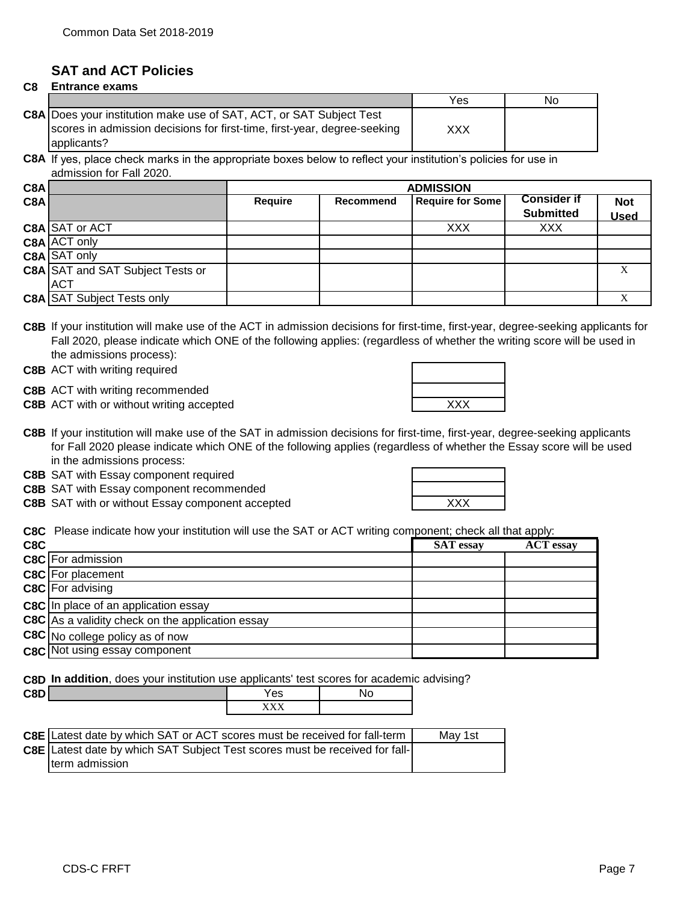## **SAT and ACT Policies**

#### **C8 Entrance exams**

|                                                                                                                                                                | Yes | No |
|----------------------------------------------------------------------------------------------------------------------------------------------------------------|-----|----|
| C8A Does your institution make use of SAT, ACT, or SAT Subject Test<br>scores in admission decisions for first-time, first-year, degree-seeking<br>applicants? | XXX |    |

**C8A** If yes, place check marks in the appropriate boxes below to reflect your institution's policies for use in admission for Fall 2020.

| C8A |                                         |                | <b>ADMISSION</b> |                         |                    |             |  |
|-----|-----------------------------------------|----------------|------------------|-------------------------|--------------------|-------------|--|
| C8A |                                         | <b>Require</b> | Recommend        | <b>Require for Some</b> | <b>Consider if</b> | <b>Not</b>  |  |
|     |                                         |                |                  |                         | <b>Submitted</b>   | <b>Used</b> |  |
|     | C8A SAT or ACT                          |                |                  | <b>XXX</b>              | <b>XXX</b>         |             |  |
|     | C8A ACT only                            |                |                  |                         |                    |             |  |
|     | C8A SAT only                            |                |                  |                         |                    |             |  |
|     | <b>C8A SAT and SAT Subject Tests or</b> |                |                  |                         |                    |             |  |
|     | <b>ACT</b>                              |                |                  |                         |                    |             |  |
|     | <b>C8A SAT Subject Tests only</b>       |                |                  |                         |                    |             |  |

**C8B** If your institution will make use of the ACT in admission decisions for first-time, first-year, degree-seeking applicants for Fall 2020, please indicate which ONE of the following applies: (regardless of whether the writing score will be used in the admissions process):

**C8B** ACT with writing required

**C8B** ACT with writing recommended

**C8B** ACT with or without writing accepted **ACT WAS ACT WAS ALCON** 

**C8B** If your institution will make use of the SAT in admission decisions for first-time, first-year, degree-seeking applicants for Fall 2020 please indicate which ONE of the following applies (regardless of whether the Essay score will be used in the admissions process:

**C8B** SAT with Essay component required

**C8B** SAT with Essay component recommended

**C8B** SAT with or without Essay component accepted **EXXX EXAM** 

| ᄉᄉ |  |
|----|--|

**C8C** Please indicate how your institution will use the SAT or ACT writing component; check all that apply:

| C8C |                                                         | <b>SAT</b> essay | <b>ACT</b> essay |
|-----|---------------------------------------------------------|------------------|------------------|
|     | <b>C8C</b> For admission                                |                  |                  |
|     | <b>C8C</b> For placement                                |                  |                  |
|     | <b>C8C</b> For advising                                 |                  |                  |
|     | <b>C8C</b> In place of an application essay             |                  |                  |
|     | <b>C8C</b> As a validity check on the application essay |                  |                  |
|     | C8C No college policy as of now                         |                  |                  |
|     | <b>C8C</b> Not using essay component                    |                  |                  |

**C8D In addition**, does your institution use applicants' test scores for academic advising?

| $- - -$<br>υ.<br>--- | $\sim$<br>ౚ                  | 10 |
|----------------------|------------------------------|----|
|                      | - - - - - -<br>. .<br>------ |    |

| <b>C8E</b> Latest date by which SAT or ACT scores must be received for fall-term | Mav 1st |
|----------------------------------------------------------------------------------|---------|
| C8E Latest date by which SAT Subject Test scores must be received for fall-      |         |
| Iterm admission                                                                  |         |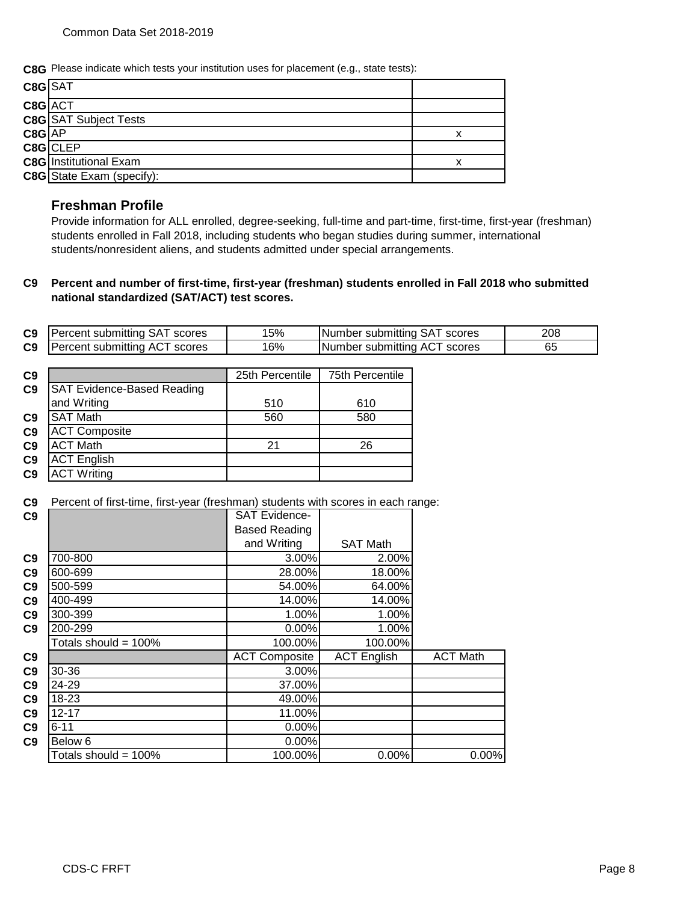**C8G** Please indicate which tests your institution uses for placement (e.g., state tests):

| C8G SAT  |                                  |  |
|----------|----------------------------------|--|
| C8G ACT  |                                  |  |
|          | <b>C8G</b> SAT Subject Tests     |  |
| $C8G$ AP |                                  |  |
|          | C8G CLEP                         |  |
|          | <b>C8G</b> Institutional Exam    |  |
|          | <b>C8G</b> State Exam (specify): |  |

## **Freshman Profile**

Provide information for ALL enrolled, degree-seeking, full-time and part-time, first-time, first-year (freshman) students enrolled in Fall 2018, including students who began studies during summer, international students/nonresident aliens, and students admitted under special arrangements.

#### **C9 Percent and number of first-time, first-year (freshman) students enrolled in Fall 2018 who submitted national standardized (SAT/ACT) test scores.**

| C9             | Percent submitting SAT scores | 15% | Number submitting SAT scores | 208 |
|----------------|-------------------------------|-----|------------------------------|-----|
| C <sub>9</sub> | Percent submitting ACT scores | 16% | Number submitting ACT scores | 65  |

| C9             |                                   | 25th Percentile | 75th Percentile |
|----------------|-----------------------------------|-----------------|-----------------|
| C <sub>9</sub> | <b>SAT Evidence-Based Reading</b> |                 |                 |
|                | and Writing                       | 510             | 610             |
| C <sub>9</sub> | <b>SAT Math</b>                   | 560             | 580             |
| C9             | <b>ACT Composite</b>              |                 |                 |
| C9             | <b>ACT Math</b>                   | 21              | 26              |
| C <sub>9</sub> | <b>ACT English</b>                |                 |                 |
| C9             | <b>ACT Writing</b>                |                 |                 |

**C9** Percent of first-time, first-year (freshman) students with scores in each range:

| C9             |                         | <b>SAT Evidence-</b> |                    |                 |
|----------------|-------------------------|----------------------|--------------------|-----------------|
|                |                         | <b>Based Reading</b> |                    |                 |
|                |                         | and Writing          | <b>SAT Math</b>    |                 |
| C9             | 700-800                 | 3.00%                | 2.00%              |                 |
| C9             | 600-699                 | 28.00%               | 18.00%             |                 |
| C9             | 500-599                 | 54.00%               | 64.00%             |                 |
| C9             | 400-499                 | 14.00%               | 14.00%             |                 |
| C9             | 300-399                 | 1.00%                | 1.00%              |                 |
| C <sub>9</sub> | 200-299                 | 0.00%                | 1.00%              |                 |
|                | Totals should = $100\%$ | 100.00%              | 100.00%            |                 |
| C9             |                         | <b>ACT Composite</b> | <b>ACT English</b> | <b>ACT Math</b> |
| C9             | 30-36                   | 3.00%                |                    |                 |
| C9             | 24-29                   | 37.00%               |                    |                 |
| C9             | 18-23                   | 49.00%               |                    |                 |
| C9             | $12 - 17$               | 11.00%               |                    |                 |
| C9             | $6 - 11$                | 0.00%                |                    |                 |
| C <sub>9</sub> | Below 6                 | $0.00\%$             |                    |                 |
|                | Totals should = 100%    | 100.00%              | 0.00%              | 0.00%           |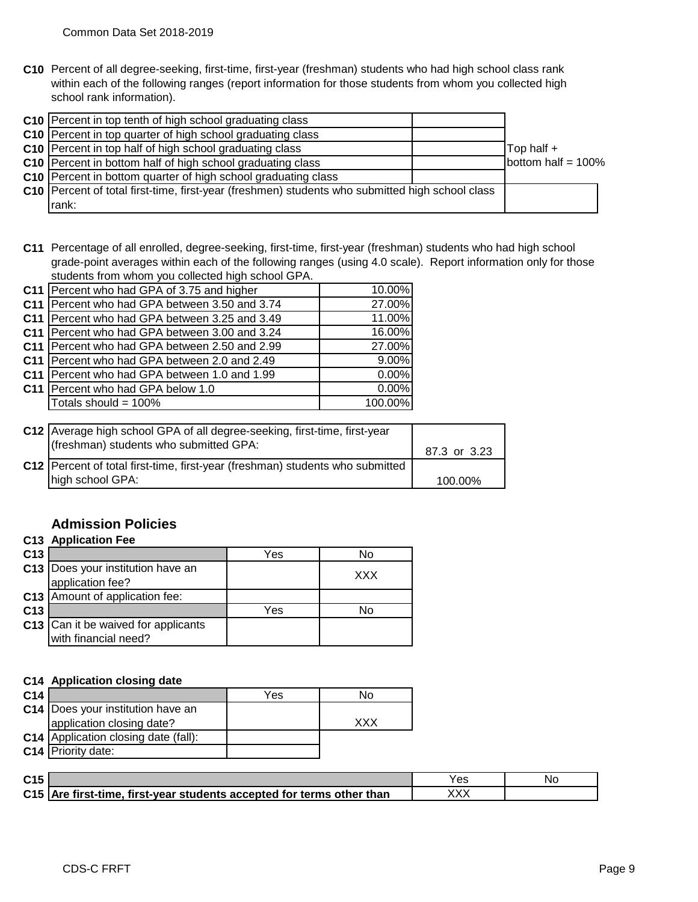**C10** Percent of all degree-seeking, first-time, first-year (freshman) students who had high school class rank within each of the following ranges (report information for those students from whom you collected high school rank information).

| C10 Percent in top tenth of high school graduating class                                          |                       |
|---------------------------------------------------------------------------------------------------|-----------------------|
| C10 Percent in top quarter of high school graduating class                                        |                       |
| C10 Percent in top half of high school graduating class                                           | Top half +            |
| C10   Percent in bottom half of high school graduating class                                      | bottom half = $100\%$ |
| C10 Percent in bottom quarter of high school graduating class                                     |                       |
| C10   Percent of total first-time, first-year (freshmen) students who submitted high school class |                       |
| rank:                                                                                             |                       |

**C11** Percentage of all enrolled, degree-seeking, first-time, first-year (freshman) students who had high school grade-point averages within each of the following ranges (using 4.0 scale). Report information only for those students from whom you collected high school GPA.

| C11   Percent who had GPA of 3.75 and higher    | 10.00%   |
|-------------------------------------------------|----------|
| C11 Percent who had GPA between 3.50 and 3.74   | 27.00%   |
| C11 Percent who had GPA between 3.25 and 3.49   | 11.00%   |
| C11   Percent who had GPA between 3.00 and 3.24 | 16.00%   |
| C11   Percent who had GPA between 2.50 and 2.99 | 27.00%   |
| C11 Percent who had GPA between 2.0 and 2.49    | $9.00\%$ |
| C11 Percent who had GPA between 1.0 and 1.99    | $0.00\%$ |
| C11   Percent who had GPA below 1.0             | 0.00%    |
| Totals should = $100\%$                         | 100.00%  |
|                                                 |          |

| C12 Average high school GPA of all degree-seeking, first-time, first-year<br>(freshman) students who submitted GPA: | 87.3 or 3.23 |
|---------------------------------------------------------------------------------------------------------------------|--------------|
| C12 Percent of total first-time, first-year (freshman) students who submitted<br>high school GPA:                   | 100.00%      |

## **Admission Policies**

|                 | <b>C13 Application Fee</b>                                  |     |     |
|-----------------|-------------------------------------------------------------|-----|-----|
| C <sub>13</sub> |                                                             | Yes | No  |
|                 | C13   Does your institution have an<br>application fee?     |     | XXX |
|                 | C13 Amount of application fee:                              |     |     |
| C <sub>13</sub> |                                                             | Yes | No  |
|                 | C13 Can it be waived for applicants<br>with financial need? |     |     |

## **C14 Application closing date**

| C <sub>14</sub> |                                             | Yes | No         |
|-----------------|---------------------------------------------|-----|------------|
|                 | <b>C14</b>   Does your institution have an  |     |            |
|                 | application closing date?                   |     | <b>XXX</b> |
|                 | <b>C14</b> Application closing date (fall): |     |            |
|                 | C14 Priority date:                          |     |            |

| C <sub>15</sub> |                                                                       | Yes | Νc |
|-----------------|-----------------------------------------------------------------------|-----|----|
|                 | C15 Are first-time, first-year students accepted for terms other than |     |    |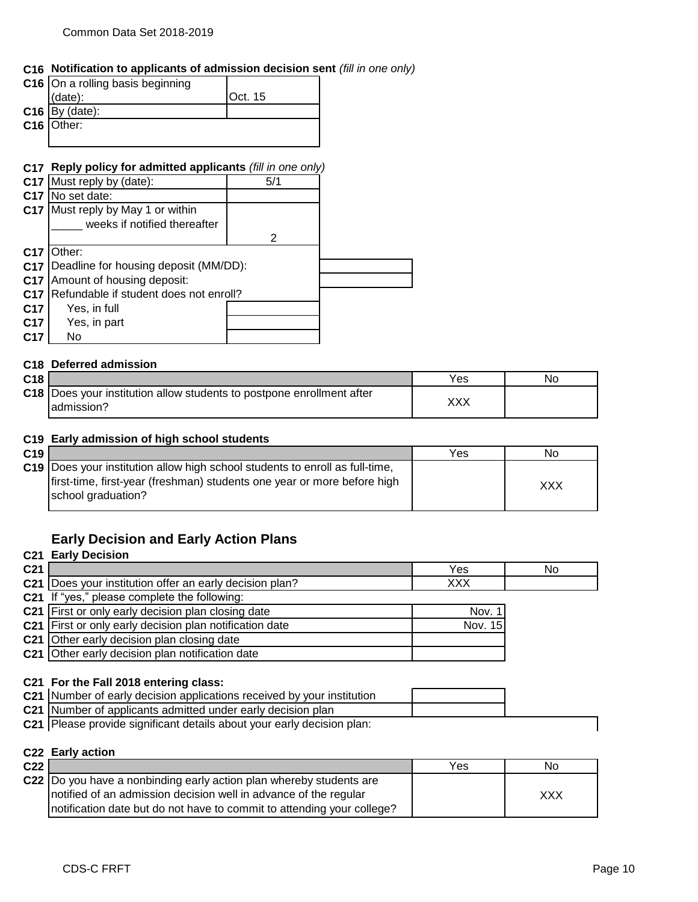## **C16 Notification to applicants of admission decision sent** *(fill in one only)*

| C16 On a rolling basis beginning |         |
|----------------------------------|---------|
| $(data)$ :                       | Oct. 15 |
| $C16$ By (date):                 |         |
| C16 Other:                       |         |
|                                  |         |

### **C17 Reply policy for admitted applicants** *(fill in one only)*

| C <sub>17</sub> | Must reply by (date):                  | 5/1 |  |
|-----------------|----------------------------------------|-----|--|
| C <sub>17</sub> | No set date:                           |     |  |
| C <sub>17</sub> | Must reply by May 1 or within          |     |  |
|                 | weeks if notified thereafter           |     |  |
|                 |                                        | 2   |  |
| C <sub>17</sub> | Other:                                 |     |  |
| C <sub>17</sub> | Deadline for housing deposit (MM/DD):  |     |  |
| C <sub>17</sub> | Amount of housing deposit:             |     |  |
| C <sub>17</sub> | Refundable if student does not enroll? |     |  |
| C <sub>17</sub> | Yes, in full                           |     |  |
| C <sub>17</sub> | Yes, in part                           |     |  |
| C <sub>17</sub> | No                                     |     |  |

### **C18 Deferred admission**

| C <sub>18</sub> |                                                                                        | Yes.  | Ν٥ |
|-----------------|----------------------------------------------------------------------------------------|-------|----|
|                 | C18   Does your institution allow students to postpone enrollment after<br>ladmission? | ,,,,, |    |

### **C19 Early admission of high school students**

| C <sub>19</sub> |                                                                                                                                                                                 | <b>Yes</b> | No  |
|-----------------|---------------------------------------------------------------------------------------------------------------------------------------------------------------------------------|------------|-----|
|                 | C19   Does your institution allow high school students to enroll as full-time,<br>first-time, first-year (freshman) students one year or more before high<br>school graduation? |            | XXX |

## **Early Decision and Early Action Plans**

## **C21 Early Decision**

| C <sub>21</sub> |                                                           | Yes        | No |
|-----------------|-----------------------------------------------------------|------------|----|
|                 | C21   Does your institution offer an early decision plan? | <b>XXX</b> |    |
|                 | C21 If "yes," please complete the following:              |            |    |
|                 | <b>C21</b> First or only early decision plan closing date | Nov. 1     |    |
|                 | C21 First or only early decision plan notification date   | Nov. 15    |    |
|                 | <b>C21</b> Other early decision plan closing date         |            |    |
|                 | C21 Other early decision plan notification date           |            |    |

### **C21 For the Fall 2018 entering class:**

| C21 Number of early decision applications received by your institution |  |
|------------------------------------------------------------------------|--|
| C21 Number of applicants admitted under early decision plan            |  |

**C21** Please provide significant details about your early decision plan:

#### **C22 Early action**

| C <sub>22</sub> |                                                                         | Yes | No  |
|-----------------|-------------------------------------------------------------------------|-----|-----|
|                 | C22 Do you have a nonbinding early action plan whereby students are     |     |     |
|                 | notified of an admission decision well in advance of the regular        |     | XXX |
|                 | Inotification date but do not have to commit to attending your college? |     |     |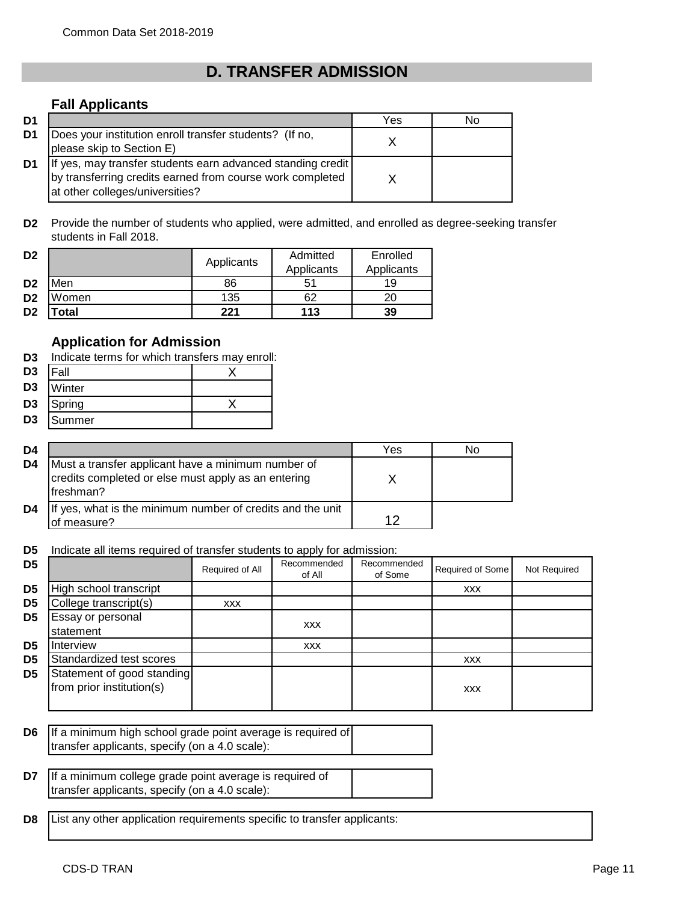# **D. TRANSFER ADMISSION**

## **Fall Applicants**

| D <sub>1</sub> |                                                                                                                                                             | Yes | No |
|----------------|-------------------------------------------------------------------------------------------------------------------------------------------------------------|-----|----|
| D1             | Does your institution enroll transfer students? (If no,<br>please skip to Section E)                                                                        |     |    |
| D1             | If yes, may transfer students earn advanced standing credit<br>by transferring credits earned from course work completed<br>at other colleges/universities? |     |    |

**D2** Provide the number of students who applied, were admitted, and enrolled as degree-seeking transfer students in Fall 2018.

| D <sub>2</sub> |            | Applicants | Admitted   | Enrolled   |
|----------------|------------|------------|------------|------------|
|                |            |            | Applicants | Applicants |
| D <sub>2</sub> | <b>Men</b> | 86         | 51         | 19         |
| D <sub>2</sub> | Women      | 135        | 62         |            |
| D <sub>2</sub> | 'otal      | 221        | 113        | 39         |

## **Application for Admission**

|                | <b>D3</b> Indicate terms for which transfers may enroll: |  |  |  |  |
|----------------|----------------------------------------------------------|--|--|--|--|
| D <sub>3</sub> | <b>IFall</b>                                             |  |  |  |  |
|                | D3 Winter                                                |  |  |  |  |
| D3             | Spring                                                   |  |  |  |  |
| D3             | Summer                                                   |  |  |  |  |

| D4 |                                                                                                                         | Yes | Nο |
|----|-------------------------------------------------------------------------------------------------------------------------|-----|----|
| D4 | Must a transfer applicant have a minimum number of<br>credits completed or else must apply as an entering<br>lfreshman? |     |    |
| D4 | If yes, what is the minimum number of credits and the unit<br>of measure?                                               |     |    |

**D5** Indicate all items required of transfer students to apply for admission:

| D <sub>5</sub> |                                                         | Required of All | Recommended<br>of All | Recommended<br>of Some | Required of Some | Not Required |
|----------------|---------------------------------------------------------|-----------------|-----------------------|------------------------|------------------|--------------|
| D <sub>5</sub> | High school transcript                                  |                 |                       |                        | <b>XXX</b>       |              |
| D <sub>5</sub> | College transcript(s)                                   | <b>XXX</b>      |                       |                        |                  |              |
| D <sub>5</sub> | Essay or personal<br>statement                          |                 | <b>XXX</b>            |                        |                  |              |
| D <sub>5</sub> | Interview                                               |                 | <b>XXX</b>            |                        |                  |              |
| D <sub>5</sub> | Standardized test scores                                |                 |                       |                        | <b>XXX</b>       |              |
| D <sub>5</sub> | Statement of good standing<br>from prior institution(s) |                 |                       |                        | <b>XXX</b>       |              |

**D6** If a minimum high school grade point average is required of transfer applicants, specify (on a 4.0 scale):

| <b>D7</b> If a minimum college grade point average is required of |  |
|-------------------------------------------------------------------|--|
| transfer applicants, specify (on a 4.0 scale):                    |  |

**D8** List any other application requirements specific to transfer applicants: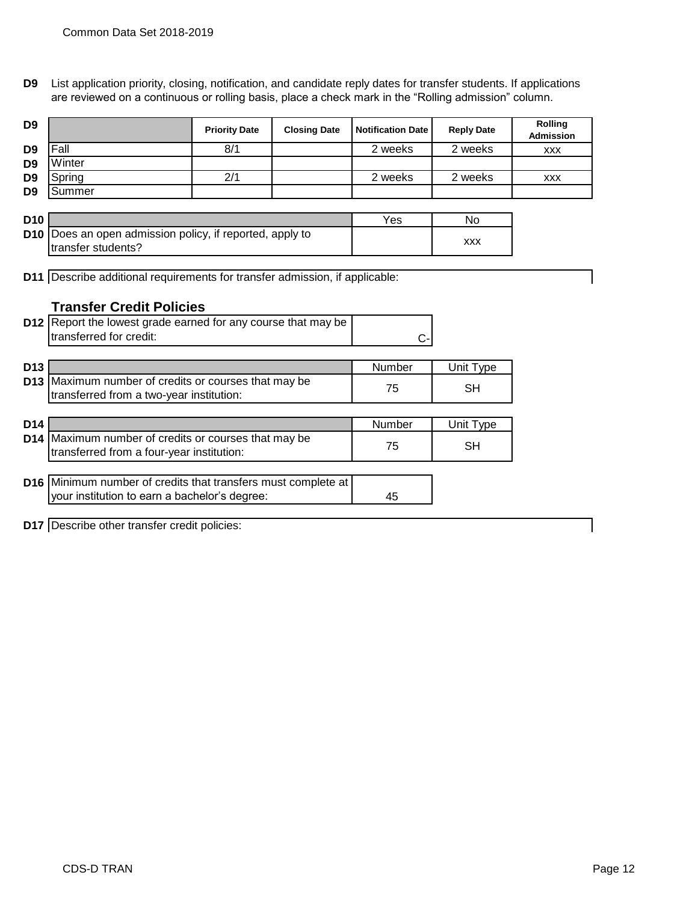**D9** List application priority, closing, notification, and candidate reply dates for transfer students. If applications are reviewed on a continuous or rolling basis, place a check mark in the "Rolling admission" column.

| D <sub>9</sub>  |                                                                                                                       | <b>Priority Date</b> | <b>Closing Date</b> | <b>Notification Date</b> | <b>Reply Date</b> | Rolling<br><b>Admission</b> |
|-----------------|-----------------------------------------------------------------------------------------------------------------------|----------------------|---------------------|--------------------------|-------------------|-----------------------------|
| D <sub>9</sub>  | Fall                                                                                                                  | 8/1                  |                     | 2 weeks                  | 2 weeks           | <b>XXX</b>                  |
| D <sub>9</sub>  | Winter                                                                                                                |                      |                     |                          |                   |                             |
| D <sub>9</sub>  | Spring                                                                                                                | 2/1                  |                     | 2 weeks                  | 2 weeks           | <b>XXX</b>                  |
| D <sub>9</sub>  | Summer                                                                                                                |                      |                     |                          |                   |                             |
|                 |                                                                                                                       |                      |                     |                          |                   |                             |
| <b>D10</b>      |                                                                                                                       |                      |                     | Yes                      | No                |                             |
|                 | D10 Does an open admission policy, if reported, apply to<br>transfer students?                                        |                      |                     |                          | <b>XXX</b>        |                             |
|                 | <b>D11</b> Describe additional requirements for transfer admission, if applicable:<br><b>Transfer Credit Policies</b> |                      |                     |                          |                   |                             |
|                 | D12 Report the lowest grade earned for any course that may be                                                         |                      |                     |                          |                   |                             |
|                 | transferred for credit:                                                                                               |                      |                     |                          |                   |                             |
|                 |                                                                                                                       |                      |                     | C.                       |                   |                             |
| D <sub>13</sub> |                                                                                                                       |                      |                     | Number                   | Unit Type         |                             |
|                 | D13 Maximum number of credits or courses that may be<br>transferred from a two-year institution:                      |                      |                     | 75                       | <b>SH</b>         |                             |
|                 |                                                                                                                       |                      |                     |                          |                   |                             |
| D <sub>14</sub> |                                                                                                                       |                      |                     | <b>Number</b>            | Unit Type         |                             |
|                 | D14 Maximum number of credits or courses that may be<br>transferred from a four-year institution:                     |                      |                     | 75                       | <b>SH</b>         |                             |
|                 |                                                                                                                       |                      |                     |                          |                   |                             |
|                 | D16 Minimum number of credits that transfers must complete at                                                         |                      |                     |                          |                   |                             |
|                 | your institution to earn a bachelor's degree:                                                                         |                      |                     | 45                       |                   |                             |
|                 | <b>D17</b> Describe other transfer credit policies:                                                                   |                      |                     |                          |                   |                             |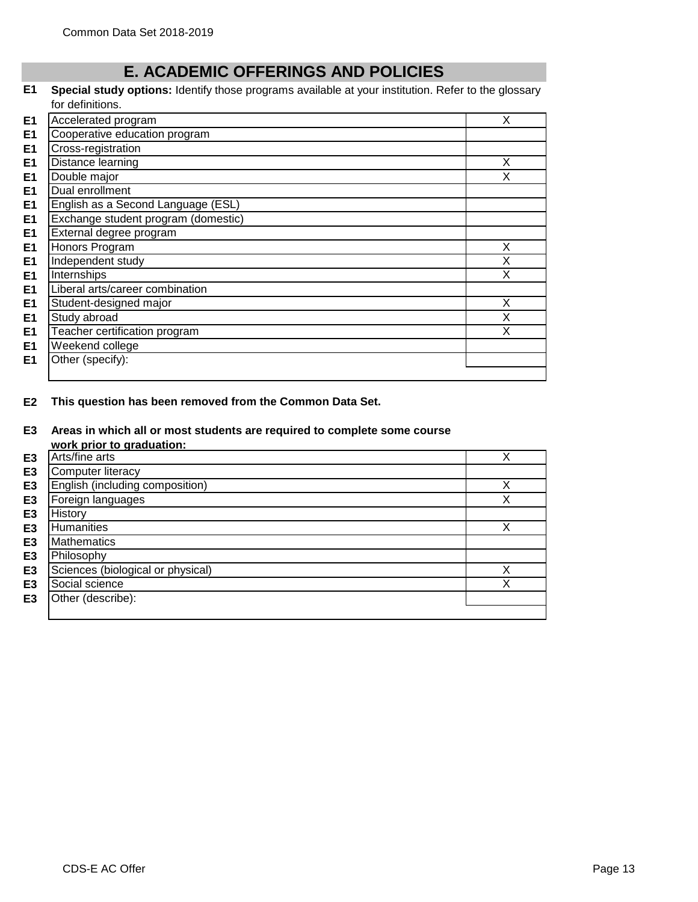# **E. ACADEMIC OFFERINGS AND POLICIES**

#### **E1 Special study options:** Identify those programs available at your institution. Refer to the glossary for definitions.

| E <sub>1</sub> | Accelerated program                 | X |
|----------------|-------------------------------------|---|
| E1             | Cooperative education program       |   |
| E <sub>1</sub> | Cross-registration                  |   |
| E <sub>1</sub> | Distance learning                   | X |
| E <sub>1</sub> | Double major                        | х |
| E <sub>1</sub> | Dual enrollment                     |   |
| E <sub>1</sub> | English as a Second Language (ESL)  |   |
| E <sub>1</sub> | Exchange student program (domestic) |   |
| E <sub>1</sub> | External degree program             |   |
| E <sub>1</sub> | Honors Program                      | X |
| E <sub>1</sub> | Independent study                   | X |
| E <sub>1</sub> | Internships                         | X |
| E1             | Liberal arts/career combination     |   |
| E <sub>1</sub> | Student-designed major              | X |
| E <sub>1</sub> | Study abroad                        | X |
| E <sub>1</sub> | Teacher certification program       | X |
| E1             | Weekend college                     |   |
| E1             | Other (specify):                    |   |
|                |                                     |   |

**E2 This question has been removed from the Common Data Set.**

## **E3 Areas in which all or most students are required to complete some course**

|                | work prior to graduation:         |   |
|----------------|-----------------------------------|---|
| E <sub>3</sub> | Arts/fine arts                    |   |
| E <sub>3</sub> | Computer literacy                 |   |
| E <sub>3</sub> | English (including composition)   | Х |
| E3             | Foreign languages                 | X |
| E3             | History                           |   |
| E3             | <b>Humanities</b>                 |   |
| E3             | <b>Mathematics</b>                |   |
| E <sub>3</sub> | Philosophy                        |   |
| E <sub>3</sub> | Sciences (biological or physical) |   |
| E3             | Social science                    |   |
| E3             | Other (describe):                 |   |
|                |                                   |   |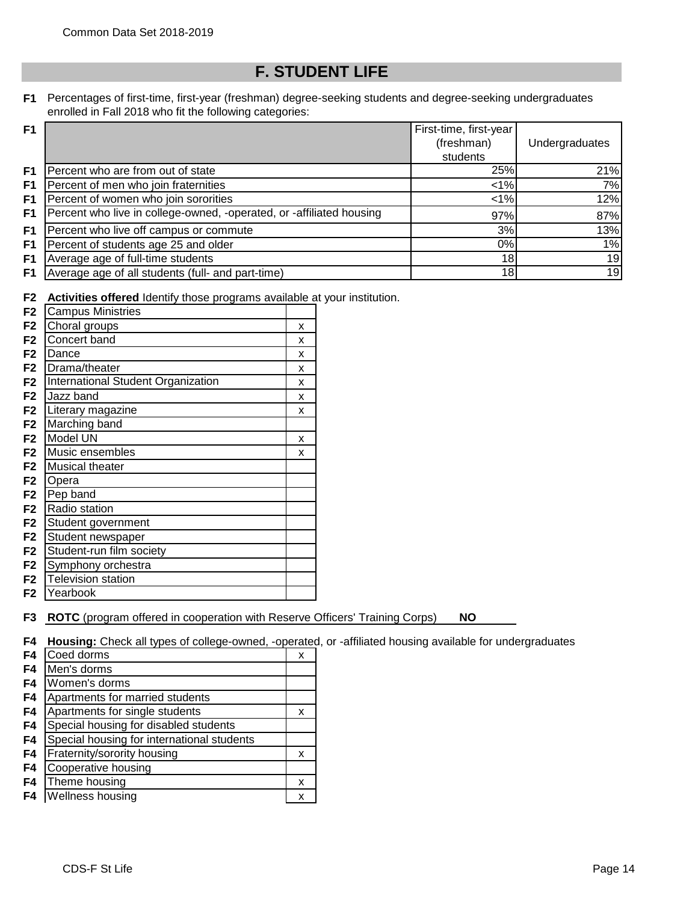# **F. STUDENT LIFE**

### **F1** Percentages of first-time, first-year (freshman) degree-seeking students and degree-seeking undergraduates enrolled in Fall 2018 who fit the following categories:

| F1 |                                                                      | First-time, first-year |                |
|----|----------------------------------------------------------------------|------------------------|----------------|
|    |                                                                      | (freshman)             | Undergraduates |
|    |                                                                      | students               |                |
| F1 | Percent who are from out of state                                    | 25%                    | 21%            |
| F1 | Percent of men who join fraternities                                 | $< 1\%$                | 7%             |
| F1 | Percent of women who join sororities                                 | $< 1\%$                | 12%            |
| F1 | Percent who live in college-owned, -operated, or -affiliated housing | 97%                    | 87%            |
| F1 | Percent who live off campus or commute                               | 3%                     | 13%            |
| F1 | Percent of students age 25 and older                                 | 0%                     | 1%             |
| F1 | Average age of full-time students                                    | 18 <sup>1</sup>        | 19             |
| F1 | Average age of all students (full- and part-time)                    | 18                     | 19             |

**F2 Activities offered** Identify those programs available at your institution.

| F <sub>2</sub> | <b>Campus Ministries</b>           |   |
|----------------|------------------------------------|---|
| F <sub>2</sub> | Choral groups                      | x |
| F <sub>2</sub> | Concert band                       | x |
| F <sub>2</sub> | Dance                              | x |
| F <sub>2</sub> | Drama/theater                      | x |
| F <sub>2</sub> | International Student Organization | x |
| F <sub>2</sub> | Jazz band                          | x |
| F2             | Literary magazine                  | x |
| F <sub>2</sub> | Marching band                      |   |
| F <sub>2</sub> | Model UN                           | x |
| F <sub>2</sub> | Music ensembles                    | x |
| F <sub>2</sub> | Musical theater                    |   |
| F <sub>2</sub> | Opera                              |   |
| F <sub>2</sub> | Pep band                           |   |
| F <sub>2</sub> | Radio station                      |   |
| F <sub>2</sub> | Student government                 |   |
| F <sub>2</sub> | Student newspaper                  |   |
| F <sub>2</sub> | Student-run film society           |   |
| F2             | Symphony orchestra                 |   |
| F <sub>2</sub> | <b>Television station</b>          |   |
| F2             | Yearbook                           |   |

**F3 ROTC** (program offered in cooperation with Reserve Officers' Training Corps) **NO**

**F4 Housing:** Check all types of college-owned, -operated, or -affiliated housing available for undergraduates

| F4 | Coed dorms                                 | х |
|----|--------------------------------------------|---|
| F4 | Men's dorms                                |   |
| F4 | Women's dorms                              |   |
| F4 | Apartments for married students            |   |
| F4 | Apartments for single students             | x |
| F4 | Special housing for disabled students      |   |
| F4 | Special housing for international students |   |
| F4 | Fraternity/sorority housing                | х |
| F4 | Cooperative housing                        |   |
| F4 | Theme housing                              | x |
| F4 | Wellness housing                           |   |
|    |                                            |   |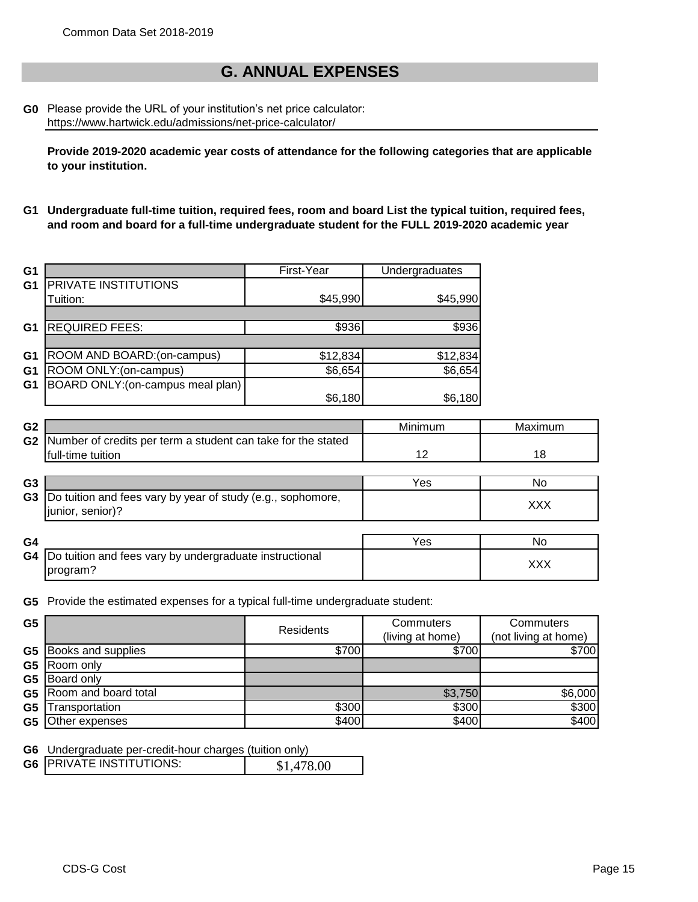# **G. ANNUAL EXPENSES**

## **G0** Please provide the URL of your institution's net price calculator: https://www.hartwick.edu/admissions/net-price-calculator/

**Provide 2019-2020 academic year costs of attendance for the following categories that are applicable to your institution.**

**G1 Undergraduate full-time tuition, required fees, room and board List the typical tuition, required fees, and room and board for a full-time undergraduate student for the FULL 2019-2020 academic year**

| G <sub>1</sub> |                                   | First-Year | Undergraduates |
|----------------|-----------------------------------|------------|----------------|
| G <sub>1</sub> | PRIVATE INSTITUTIONS              |            |                |
|                | Tuition:                          | \$45,990   | \$45,990       |
|                |                                   |            |                |
| G <sub>1</sub> | <b>REQUIRED FEES:</b>             | \$936      | \$936          |
|                |                                   |            |                |
| G <sub>1</sub> | ROOM AND BOARD:(on-campus)        | \$12,834   | \$12,834       |
| G <sub>1</sub> | ROOM ONLY: (on-campus)            | \$6,654    | \$6,654        |
| G <sub>1</sub> | BOARD ONLY: (on-campus meal plan) |            |                |
|                |                                   | \$6,180    | \$6,180        |

| G <sub>2</sub> |                                                              | Minimum | Maximum    |
|----------------|--------------------------------------------------------------|---------|------------|
| G <sub>2</sub> | Number of credits per term a student can take for the stated |         |            |
|                | full-time tuition                                            | 12      | 18         |
|                |                                                              |         |            |
| G3             |                                                              | Yes     | No         |
| G3             | Do tuition and fees vary by year of study (e.g., sophomore,  |         |            |
|                | junior, senior)?                                             |         | <b>XXX</b> |
|                |                                                              |         |            |
| G4             |                                                              | Yes     | No         |
| G4             | Do tuition and fees vary by undergraduate instructional      |         |            |
|                | program?                                                     |         | <b>XXX</b> |

**G5** Provide the estimated expenses for a typical full-time undergraduate student:

| G <sub>5</sub> |                      | Residents | Commuters<br>(living at home) | Commuters<br>(not living at home) |
|----------------|----------------------|-----------|-------------------------------|-----------------------------------|
| G5             | Books and supplies   | \$700     | \$700                         | \$700                             |
| G <sub>5</sub> | Room only            |           |                               |                                   |
| G <sub>5</sub> | <b>Board only</b>    |           |                               |                                   |
| G5             | Room and board total |           | \$3,750                       | \$6,000                           |
| G <sub>5</sub> | Transportation       | \$300     | \$300                         | \$300                             |
| G5             | Other expenses       | \$400     | \$400                         | \$400                             |

**G6** Undergraduate per-credit-hour charges (tuition only)

|  | <b>G6 IPRIVATE INSTITUTIONS:</b> | \$1,478.00 |
|--|----------------------------------|------------|
|--|----------------------------------|------------|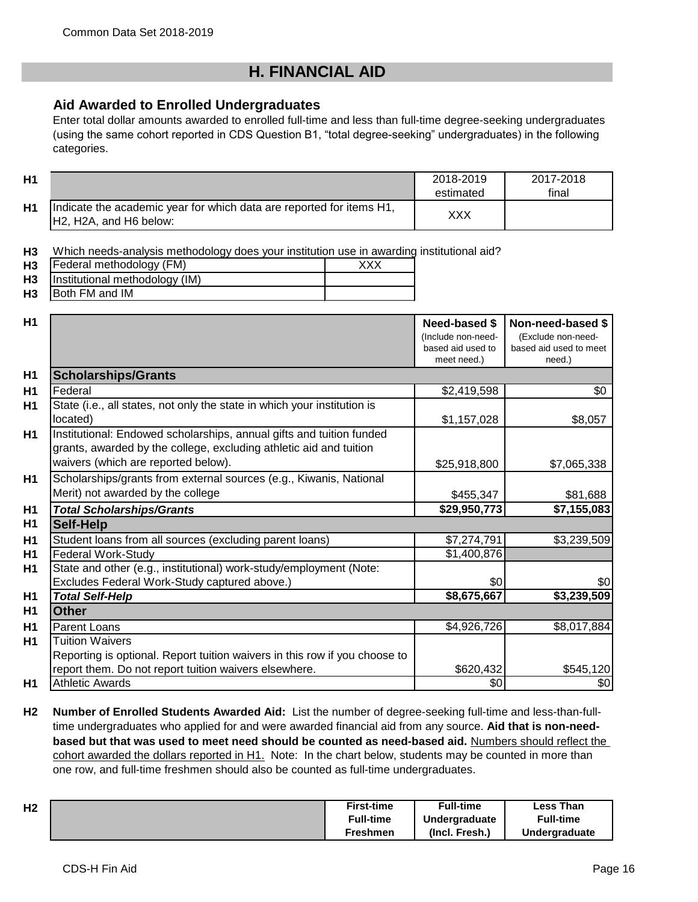# **H. FINANCIAL AID**

## **Aid Awarded to Enrolled Undergraduates**

Enter total dollar amounts awarded to enrolled full-time and less than full-time degree-seeking undergraduates (using the same cohort reported in CDS Question B1, "total degree-seeking" undergraduates) in the following categories.

| H1 |                                                                                                                                      | 2018-2019<br>estimated | 2017-2018<br>final |
|----|--------------------------------------------------------------------------------------------------------------------------------------|------------------------|--------------------|
| Η1 | Indicate the academic year for which data are reported for items H1,<br>H <sub>2</sub> , H <sub>2</sub> A, and H <sub>6</sub> below: | XXX                    |                    |

**H3** Which needs-analysis methodology does your institution use in awarding institutional aid?

| H <sub>3</sub> | Federal methodology (FM)       |  |
|----------------|--------------------------------|--|
| H <sub>3</sub> | Institutional methodology (IM) |  |
| H <sub>3</sub> | <b>IBoth FM and IM</b>         |  |

| H1             |                                                                            | Need-based \$      | Non-need-based \$      |
|----------------|----------------------------------------------------------------------------|--------------------|------------------------|
|                |                                                                            | (Include non-need- | (Exclude non-need-     |
|                |                                                                            | based aid used to  | based aid used to meet |
|                |                                                                            | meet need.)        | need.)                 |
| H <sub>1</sub> | <b>Scholarships/Grants</b>                                                 |                    |                        |
| <b>H1</b>      | Federal                                                                    | \$2,419,598        | \$0                    |
| H1             | State (i.e., all states, not only the state in which your institution is   |                    |                        |
|                | located)                                                                   | \$1,157,028        | \$8,057                |
| H <sub>1</sub> | Institutional: Endowed scholarships, annual gifts and tuition funded       |                    |                        |
|                | grants, awarded by the college, excluding athletic aid and tuition         |                    |                        |
|                | waivers (which are reported below).                                        | \$25,918,800       | \$7,065,338            |
| H <sub>1</sub> | Scholarships/grants from external sources (e.g., Kiwanis, National         |                    |                        |
|                | Merit) not awarded by the college                                          | \$455,347          | \$81,688               |
| H <sub>1</sub> | <b>Total Scholarships/Grants</b>                                           | \$29,950,773       | \$7,155,083            |
| H <sub>1</sub> | <b>Self-Help</b>                                                           |                    |                        |
| H <sub>1</sub> | Student loans from all sources (excluding parent loans)                    | \$7,274,791        | \$3,239,509            |
| H <sub>1</sub> | <b>Federal Work-Study</b>                                                  | \$1,400,876        |                        |
| <b>H1</b>      | State and other (e.g., institutional) work-study/employment (Note:         |                    |                        |
|                | Excludes Federal Work-Study captured above.)                               | \$0                | \$0                    |
| H <sub>1</sub> | <b>Total Self-Help</b>                                                     | \$8,675,667        | \$3,239,509            |
| H <sub>1</sub> | <b>Other</b>                                                               |                    |                        |
| H <sub>1</sub> | <b>Parent Loans</b>                                                        | \$4,926,726        | \$8,017,884            |
| H1             | <b>Tuition Waivers</b>                                                     |                    |                        |
|                | Reporting is optional. Report tuition waivers in this row if you choose to |                    |                        |
|                | report them. Do not report tuition waivers elsewhere.                      | \$620,432          | \$545,120              |
| H1             | <b>Athletic Awards</b>                                                     | \$0                | \$0                    |

**H2 Number of Enrolled Students Awarded Aid:** List the number of degree-seeking full-time and less-than-fulltime undergraduates who applied for and were awarded financial aid from any source. **Aid that is non-needbased but that was used to meet need should be counted as need-based aid.** Numbers should reflect the cohort awarded the dollars reported in H1. Note: In the chart below, students may be counted in more than one row, and full-time freshmen should also be counted as full-time undergraduates.

| H <sub>2</sub> | <b>First-time</b> | <b>Full-time</b> | <b>Less Than</b> |
|----------------|-------------------|------------------|------------------|
|                | <b>Full-time</b>  | Undergraduate    | <b>Full-time</b> |
|                | Freshmen          | (Incl. Fresh.)   | Undergraduate    |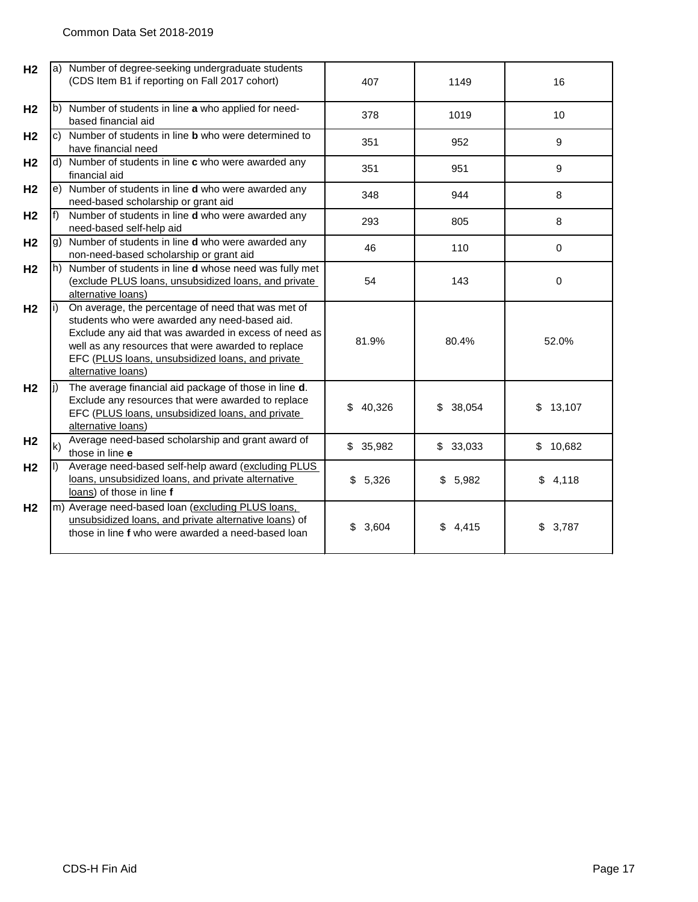| H <sub>2</sub> |                            | a) Number of degree-seeking undergraduate students<br>(CDS Item B1 if reporting on Fall 2017 cohort)                                                                                                                                                                                         | 407          | 1149         | 16          |
|----------------|----------------------------|----------------------------------------------------------------------------------------------------------------------------------------------------------------------------------------------------------------------------------------------------------------------------------------------|--------------|--------------|-------------|
| H <sub>2</sub> |                            | b) Number of students in line a who applied for need-<br>based financial aid                                                                                                                                                                                                                 | 378          | 1019         | 10          |
| H <sub>2</sub> |                            | c) Number of students in line <b>b</b> who were determined to<br>have financial need                                                                                                                                                                                                         | 351          | 952          | 9           |
| H <sub>2</sub> |                            | d) Number of students in line c who were awarded any<br>financial aid                                                                                                                                                                                                                        | 351          | 951          | 9           |
| H <sub>2</sub> |                            | e) Number of students in line d who were awarded any<br>need-based scholarship or grant aid                                                                                                                                                                                                  | 348          | 944          | 8           |
| H <sub>2</sub> | f)                         | Number of students in line d who were awarded any<br>need-based self-help aid                                                                                                                                                                                                                | 293          | 805          | 8           |
| H <sub>2</sub> | $\vert \mathsf{q} \rangle$ | Number of students in line d who were awarded any<br>non-need-based scholarship or grant aid                                                                                                                                                                                                 | 46           | 110          | 0           |
| H <sub>2</sub> | $ h\rangle$                | Number of students in line d whose need was fully met<br>(exclude PLUS loans, unsubsidized loans, and private<br>alternative loans)                                                                                                                                                          | 54           | 143          | 0           |
| H <sub>2</sub> | li)                        | On average, the percentage of need that was met of<br>students who were awarded any need-based aid.<br>Exclude any aid that was awarded in excess of need as<br>well as any resources that were awarded to replace<br>EFC (PLUS loans, unsubsidized loans, and private<br>alternative loans) | 81.9%        | 80.4%        | 52.0%       |
| H <sub>2</sub> | li)                        | The average financial aid package of those in line d.<br>Exclude any resources that were awarded to replace<br>EFC (PLUS loans, unsubsidized loans, and private<br>alternative loans)                                                                                                        | \$<br>40,326 | 38,054<br>\$ | \$13,107    |
| H <sub>2</sub> | $\mathsf{k}$               | Average need-based scholarship and grant award of<br>those in line e                                                                                                                                                                                                                         | \$35,982     | \$33,033     | \$10,682    |
| H <sub>2</sub> | $\mathbf{D}$               | Average need-based self-help award (excluding PLUS<br>loans, unsubsidized loans, and private alternative<br>loans) of those in line f                                                                                                                                                        | \$<br>5,326  | \$<br>5,982  | \$<br>4,118 |
| H <sub>2</sub> |                            | m) Average need-based loan (excluding PLUS loans,<br>unsubsidized loans, and private alternative loans) of<br>those in line f who were awarded a need-based loan                                                                                                                             | \$<br>3,604  | \$4,415      | \$<br>3,787 |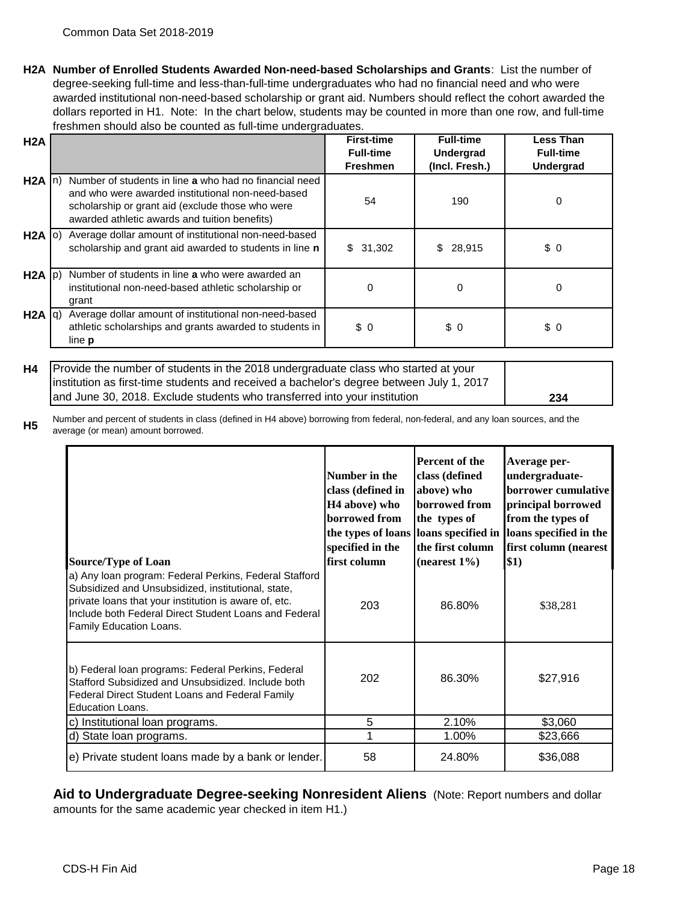**H2A Number of Enrolled Students Awarded Non-need-based Scholarships and Grants**: List the number of degree-seeking full-time and less-than-full-time undergraduates who had no financial need and who were awarded institutional non-need-based scholarship or grant aid. Numbers should reflect the cohort awarded the dollars reported in H1. Note: In the chart below, students may be counted in more than one row, and full-time freshmen should also be counted as full-time undergraduates.

| H2A             |                                                                                                                                                                                                                  | <b>First-time</b><br><b>Full-time</b><br><b>Freshmen</b> | <b>Full-time</b><br>Undergrad<br>(Incl. Fresh.) | <b>Less Than</b><br><b>Full-time</b><br><b>Undergrad</b> |
|-----------------|------------------------------------------------------------------------------------------------------------------------------------------------------------------------------------------------------------------|----------------------------------------------------------|-------------------------------------------------|----------------------------------------------------------|
| $H2A \n n)$     | Number of students in line a who had no financial need<br>and who were awarded institutional non-need-based<br>scholarship or grant aid (exclude those who were<br>awarded athletic awards and tuition benefits) | 54                                                       | 190                                             | 0                                                        |
| $H2A$ (0)       | Average dollar amount of institutional non-need-based<br>scholarship and grant aid awarded to students in line n                                                                                                 | \$31,302                                                 | \$28,915                                        | \$0                                                      |
| H2A   p)        | Number of students in line a who were awarded an<br>institutional non-need-based athletic scholarship or<br>grant                                                                                                | 0                                                        | $\Omega$                                        | 0                                                        |
| $H2A  q\rangle$ | Average dollar amount of institutional non-need-based<br>athletic scholarships and grants awarded to students in<br>line <b>p</b>                                                                                | \$0                                                      | \$0                                             | \$0                                                      |

| H4   Provide the number of students in the 2018 undergraduate class who started at your  |     |
|------------------------------------------------------------------------------------------|-----|
| institution as first-time students and received a bachelor's degree between July 1, 2017 |     |
| and June 30, 2018. Exclude students who transferred into your institution                | 234 |

**H5** Number and percent of students in class (defined in H4 above) borrowing from federal, non-federal, and any loan sources, and the average (or mean) amount borrowed.

| <b>Source/Type of Loan</b><br>a) Any Ioan program: Federal Perkins, Federal Stafford<br>Subsidized and Unsubsidized, institutional, state,<br>private loans that your institution is aware of, etc.<br>Include both Federal Direct Student Loans and Federal | Number in the<br>class (defined in<br>H <sub>4</sub> above) who<br>borrowed from<br>specified in the<br>first column<br>203 | <b>Percent of the</b><br>class (defined<br>above) who<br>borrowed from<br>the types of<br>the first column<br>(nearest $1\%$ )<br>86.80% | Average per-<br>undergraduate-<br>borrower cumulative<br>principal borrowed<br>from the types of<br>the types of loans   loans specified in   loans specified in the<br>first column (nearest<br>\$1)<br>\$38,281 |
|--------------------------------------------------------------------------------------------------------------------------------------------------------------------------------------------------------------------------------------------------------------|-----------------------------------------------------------------------------------------------------------------------------|------------------------------------------------------------------------------------------------------------------------------------------|-------------------------------------------------------------------------------------------------------------------------------------------------------------------------------------------------------------------|
| Family Education Loans.<br>b) Federal loan programs: Federal Perkins, Federal<br>Stafford Subsidized and Unsubsidized. Include both<br>Federal Direct Student Loans and Federal Family<br><b>Education Loans.</b>                                            | 202                                                                                                                         | 86.30%                                                                                                                                   | \$27,916                                                                                                                                                                                                          |
| c) Institutional loan programs.                                                                                                                                                                                                                              | 5                                                                                                                           | 2.10%                                                                                                                                    | \$3,060                                                                                                                                                                                                           |
| d) State loan programs.                                                                                                                                                                                                                                      | 1                                                                                                                           | 1.00%                                                                                                                                    | \$23,666                                                                                                                                                                                                          |
| e) Private student loans made by a bank or lender.                                                                                                                                                                                                           | 58                                                                                                                          | 24.80%                                                                                                                                   | \$36,088                                                                                                                                                                                                          |

**Aid to Undergraduate Degree-seeking Nonresident Aliens** (Note: Report numbers and dollar amounts for the same academic year checked in item H1.)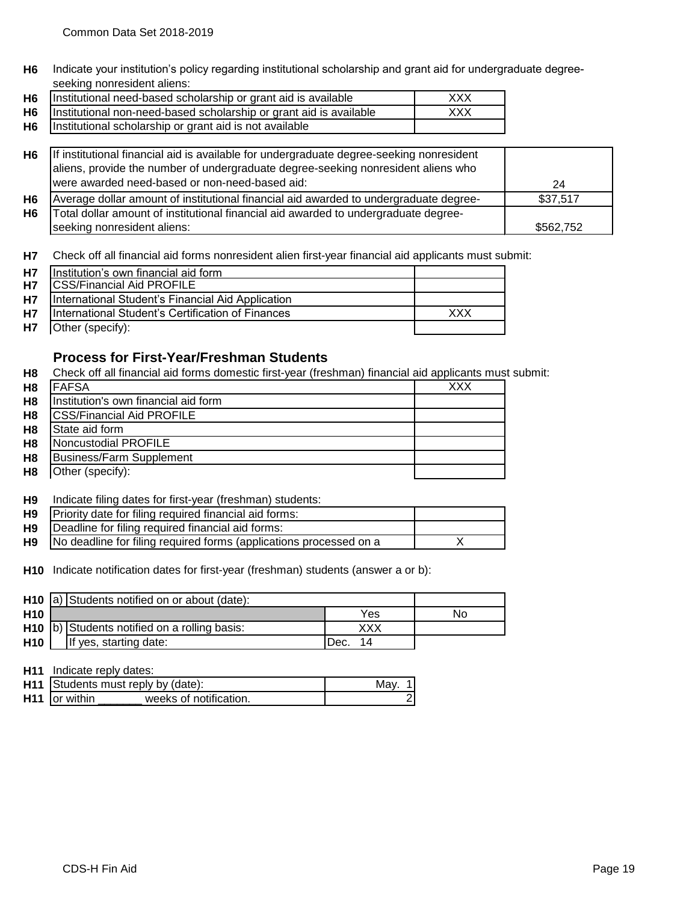**H6** Indicate your institution's policy regarding institutional scholarship and grant aid for undergraduate degreeseeking nonresident aliens:

| H6   Institutional need-based scholarship or grant aid is available     | XXX |
|-------------------------------------------------------------------------|-----|
| H6   Institutional non-need-based scholarship or grant aid is available | XXX |
| H6   Institutional scholarship or grant aid is not available            |     |

| H6 | If institutional financial aid is available for undergraduate degree-seeking nonresident<br>aliens, provide the number of undergraduate degree-seeking nonresident aliens who |           |
|----|-------------------------------------------------------------------------------------------------------------------------------------------------------------------------------|-----------|
|    | were awarded need-based or non-need-based aid:                                                                                                                                | 24        |
| H6 | Average dollar amount of institutional financial aid awarded to undergraduate degree-                                                                                         | \$37,517  |
| H6 | Total dollar amount of institutional financial aid awarded to undergraduate degree-                                                                                           |           |
|    | seeking nonresident aliens:                                                                                                                                                   | \$562,752 |

**H7** Check off all financial aid forms nonresident alien first-year financial aid applicants must submit:

| <b>H7</b> | Institution's own financial aid form              |     |
|-----------|---------------------------------------------------|-----|
| <b>H7</b> | <b>ICSS/Financial Aid PROFILE</b>                 |     |
| <b>H7</b> | International Student's Financial Aid Application |     |
| <b>H7</b> | International Student's Certification of Finances | xxx |
| <b>H7</b> | Other (specify):                                  |     |

## **Process for First-Year/Freshman Students**

**H8** Check off all financial aid forms domestic first-year (freshman) financial aid applicants must submit:

| H <sub>8</sub> | <b>IFAFSA</b>                        | xxx |
|----------------|--------------------------------------|-----|
| H <sub>8</sub> | Institution's own financial aid form |     |
| H <sub>8</sub> | <b>ICSS/Financial Aid PROFILE</b>    |     |
| H <sub>8</sub> | State aid form                       |     |
| H <sub>8</sub> | Noncustodial PROFILE                 |     |
| H <sub>8</sub> | Business/Farm Supplement             |     |
| H <sub>8</sub> | Other (specify):                     |     |

#### **H9** Indicate filing dates for first-year (freshman) students:

| H9 | Priority date for filing required financial aid forms:             |  |
|----|--------------------------------------------------------------------|--|
| H9 | Deadline for filing required financial aid forms:                  |  |
| H9 | No deadline for filing required forms (applications processed on a |  |

**H10** Indicate notification dates for first-year (freshman) students (answer a or b):

|                 | H <sub>10</sub> a) Students notified on or about (date): |                                                |            |    |
|-----------------|----------------------------------------------------------|------------------------------------------------|------------|----|
| H <sub>10</sub> |                                                          |                                                | Yes        | No |
|                 |                                                          | $H10$ b) Students notified on a rolling basis: |            |    |
| H <sub>10</sub> |                                                          | If yes, starting date:                         | Dec.<br>14 |    |

**H11** Indicate reply dates:

|                           | <b>H11</b> Students must reply by (date): | Mav |
|---------------------------|-------------------------------------------|-----|
| H <sub>11</sub> or within | weeks of notification.                    |     |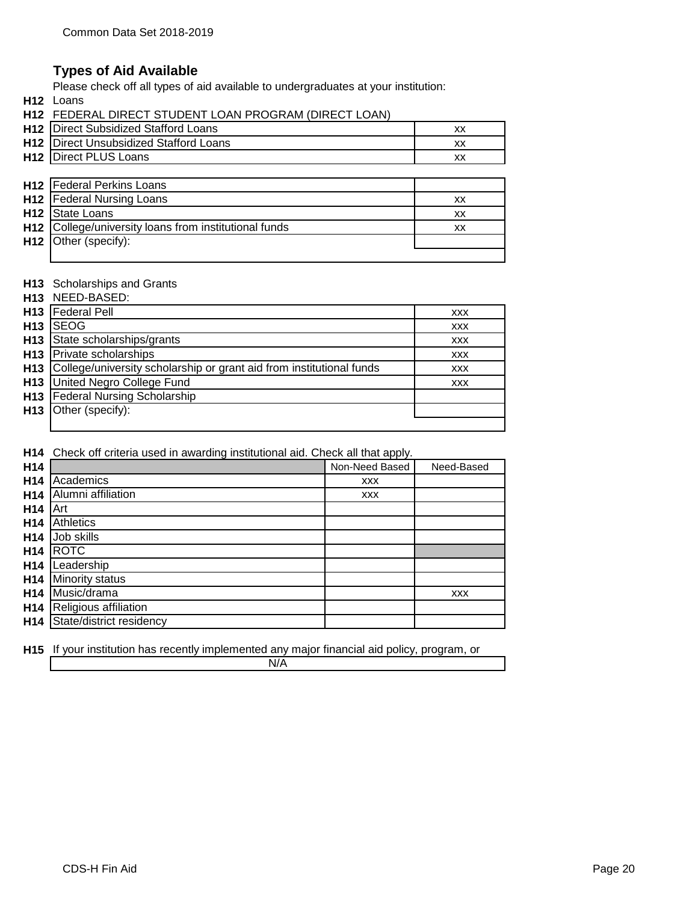## **Types of Aid Available**

Please check off all types of aid available to undergraduates at your institution:

**H12** Loans

| <b>H12 FEDERAL DIRECT STUDENT LOAN PROGRAM (DIRECT LOAN)</b> |  |
|--------------------------------------------------------------|--|
| $1149$ $\Box$ isaat Cubaidizad Ctaffard Laana.               |  |

| <b>H12</b> Direct Subsidized Stafford Loans   |  |
|-----------------------------------------------|--|
| <b>H12</b> Direct Unsubsidized Stafford Loans |  |
| H12   Direct PLUS Loans                       |  |
|                                               |  |

| <b>H12</b>   Federal Perkins Loans                    |    |
|-------------------------------------------------------|----|
| <b>H12</b> Federal Nursing Loans                      | xх |
| H12 State Loans                                       | xх |
| H12 College/university loans from institutional funds | xх |
| H <sub>12</sub> Other (specify):                      |    |
|                                                       |    |

#### **H13** Scholarships and Grants

|                 | H13 NEED-BASED:                                                          |            |
|-----------------|--------------------------------------------------------------------------|------------|
| H <sub>13</sub> | <b>Federal Pell</b>                                                      | <b>XXX</b> |
| H <sub>13</sub> | <b>ISEOG</b>                                                             | <b>XXX</b> |
| H <sub>13</sub> | State scholarships/grants                                                | <b>XXX</b> |
|                 | H <sub>13</sub> Private scholarships                                     | <b>XXX</b> |
|                 | H13 College/university scholarship or grant aid from institutional funds | <b>XXX</b> |
|                 | H13 United Negro College Fund                                            | <b>XXX</b> |
|                 | H13 Federal Nursing Scholarship                                          |            |
|                 | H <sub>13</sub> Other (specify):                                         |            |
|                 |                                                                          |            |

**H14** Check off criteria used in awarding institutional aid. Check all that apply.

| H14             |                          | Non-Need Based | Need-Based |
|-----------------|--------------------------|----------------|------------|
| H <sub>14</sub> | Academics                | <b>XXX</b>     |            |
| H <sub>14</sub> | Alumni affiliation       | <b>XXX</b>     |            |
| H <sub>14</sub> | Art                      |                |            |
| H <sub>14</sub> | Athletics                |                |            |
| H <sub>14</sub> | Job skills               |                |            |
| H14             | <b>ROTC</b>              |                |            |
| H <sub>14</sub> | Leadership               |                |            |
| H <sub>14</sub> | Minority status          |                |            |
| H <sub>14</sub> | Music/drama              |                | <b>XXX</b> |
| H <sub>14</sub> | Religious affiliation    |                |            |
| H <sub>14</sub> | State/district residency |                |            |

**H15** If your institution has recently implemented any major financial aid policy, program, or

N/A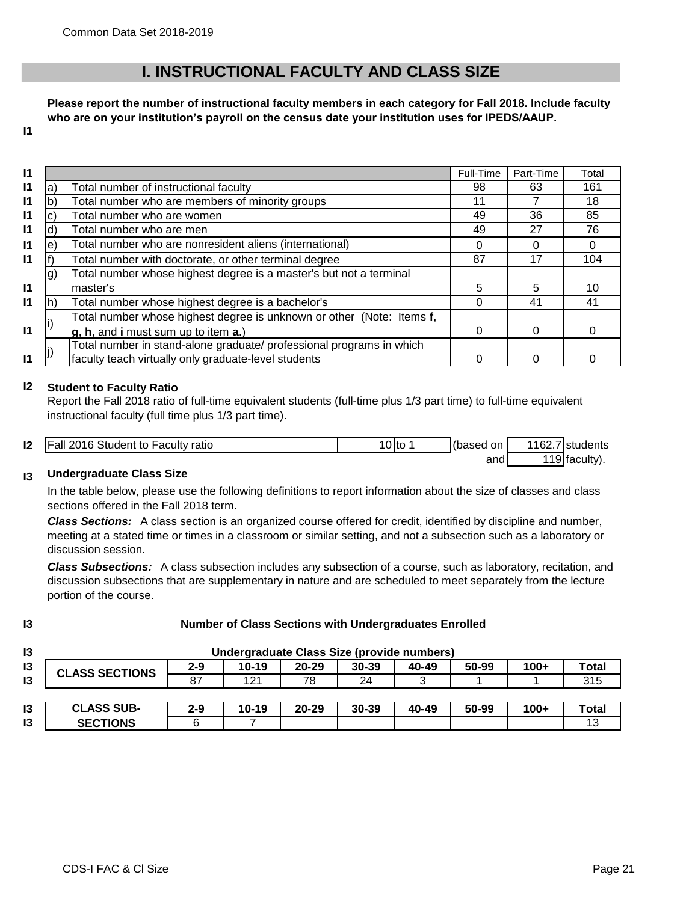# **I. INSTRUCTIONAL FACULTY AND CLASS SIZE**

**Please report the number of instructional faculty members in each category for Fall 2018. Include faculty who are on your institution's payroll on the census date your institution uses for IPEDS/AAUP.**

**I1**

| $\mathbf{I}$ |     |                                                                       | Full-Time | Part-Time | Total |
|--------------|-----|-----------------------------------------------------------------------|-----------|-----------|-------|
| $\mathsf{I}$ | a)  | Total number of instructional faculty                                 | 98        | 63        | 161   |
| $\mathsf{I}$ | b   | Total number who are members of minority groups                       | 11        |           | 18    |
| $\mathsf{I}$ | C)  | Total number who are women                                            | 49        | 36        | 85    |
| $\mathsf{I}$ | ď   | Total number who are men                                              | 49        | 27        | 76    |
| $\mathsf{I}$ | e)  | Total number who are nonresident aliens (international)               |           | O         |       |
| $\mathsf{I}$ |     | Total number with doctorate, or other terminal degree                 | 87        | 17        | 104   |
|              | lg) | Total number whose highest degree is a master's but not a terminal    |           |           |       |
| $\mathbf{I}$ |     | master's                                                              | 5         | 5         | 10    |
| $\mathbf{I}$ |     | Total number whose highest degree is a bachelor's                     | Ω         | 41        | 41    |
|              |     | Total number whose highest degree is unknown or other (Note: Items f, |           |           |       |
| $\mathsf{I}$ |     | g, h, and i must sum up to item a.)                                   | 0         | 0         | O     |
|              |     | Total number in stand-alone graduate/ professional programs in which  |           |           |       |
| $\mathsf{I}$ |     | faculty teach virtually only graduate-level students                  |           |           |       |

#### **I2 Student to Faculty Ratio**

Report the Fall 2018 ratio of full-time equivalent students (full-time plus 1/3 part time) to full-time equivalent instructional faculty (full time plus 1/3 part time).

| 12 | Fall 2016 Student<br>⊦Facult∨ ratio<br>to I | 10 Ito | (based<br>on | 1162.<br>$\rightarrow$ $\rightarrow$ | <b>Istudents</b> |
|----|---------------------------------------------|--------|--------------|--------------------------------------|------------------|
|    |                                             |        | and          |                                      | '19 (faculty).   |

#### **I3 Undergraduate Class Size**

In the table below, please use the following definitions to report information about the size of classes and class sections offered in the Fall 2018 term.

*Class Sections:* A class section is an organized course offered for credit, identified by discipline and number, meeting at a stated time or times in a classroom or similar setting, and not a subsection such as a laboratory or discussion session.

*Class Subsections:* A class subsection includes any subsection of a course, such as laboratory, recitation, and discussion subsections that are supplementary in nature and are scheduled to meet separately from the lecture portion of the course.

| I            |
|--------------|
| I<br>۰.<br>× |

## **Number of Class Sections with Undergraduates Enrolled**

| I3 | Undergraduate Class Size (provide numbers) |         |         |           |           |       |       |        |       |
|----|--------------------------------------------|---------|---------|-----------|-----------|-------|-------|--------|-------|
| I3 | <b>CLASS SECTIONS</b>                      | $2 - 9$ | $10-19$ | $20 - 29$ | $30 - 39$ | 40-49 | 50-99 | $100+$ | Total |
| I3 |                                            | 87      | 121     | 78        | 24        |       |       |        | 315   |
|    |                                            |         |         |           |           |       |       |        |       |
| I3 | <b>CLASS SUB-</b>                          | $2 - 9$ | 10-19   | $20 - 29$ | $30 - 39$ | 40-49 | 50-99 | $100+$ | Total |
| I3 | <b>SECTIONS</b>                            |         |         |           |           |       |       |        | 1 O   |

**I3** | SECTIONS | 6 | 7 | | | | | | | 13